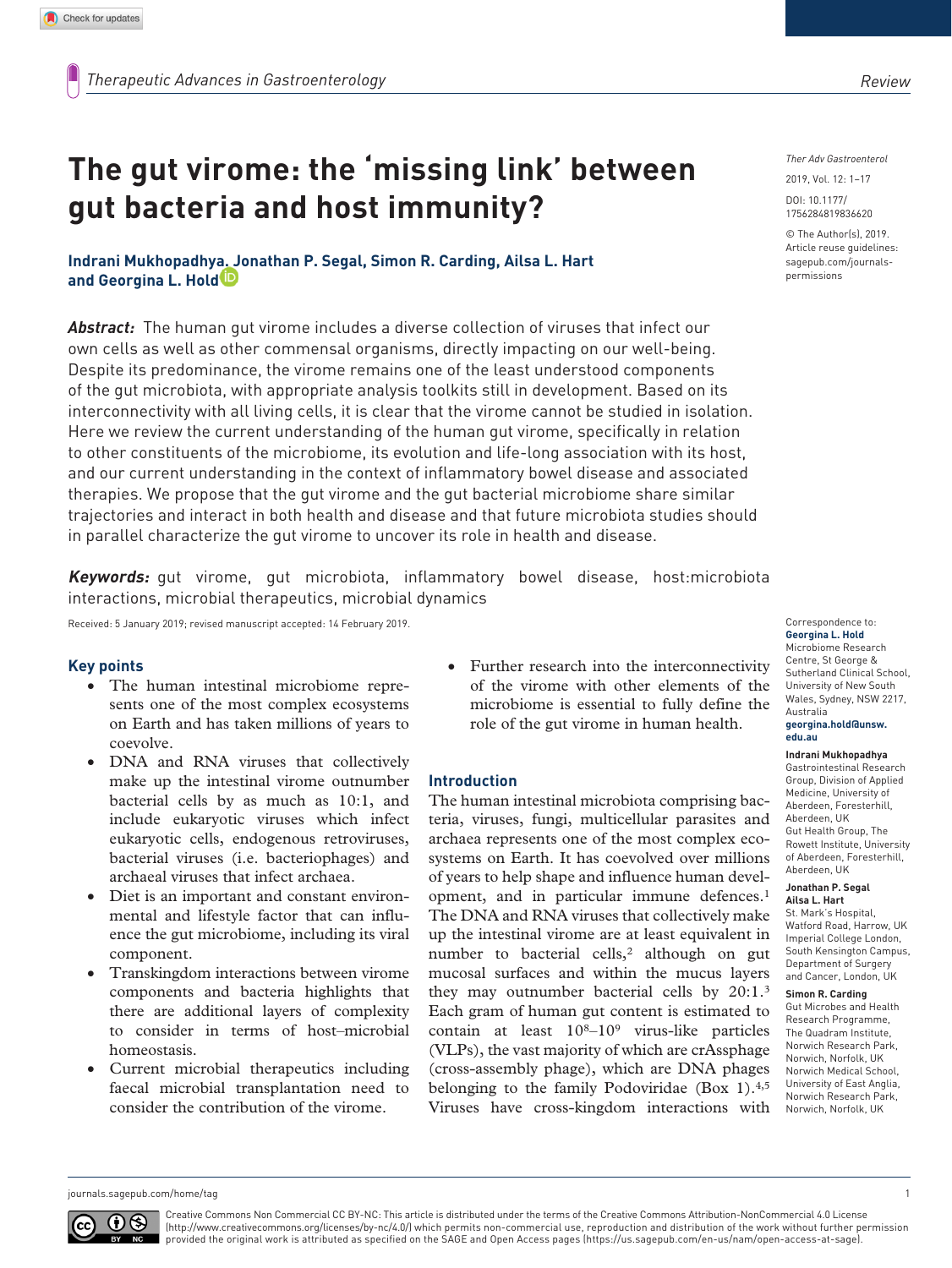# **The gut virome: the 'missing link' between gut bacteria and host immunity?**

**Indrani Mukhopadhya, Jonathan P. Segal, Simon R. Carding, Ailsa L. Hart and Georgina L. Hold**

*Abstract:* The human gut virome includes a diverse collection of viruses that infect our own cells as well as other commensal organisms, directly impacting on our well-being. Despite its predominance, the virome remains one of the least understood components of the gut microbiota, with appropriate analysis toolkits still in development. Based on its interconnectivity with all living cells, it is clear that the virome cannot be studied in isolation. Here we review the current understanding of the human gut virome, specifically in relation to other constituents of the microbiome, its evolution and life-long association with its host, and our current understanding in the context of inflammatory bowel disease and associated therapies. We propose that the gut virome and the gut bacterial microbiome share similar trajectories and interact in both health and disease and that future microbiota studies should in parallel characterize the gut virome to uncover its role in health and disease.

**Keywords:** gut virome, gut microbiota, inflammatory bowel disease, host:microbiota interactions, microbial therapeutics, microbial dynamics

Received: 5 January 2019; revised manuscript accepted: 14 February 2019. Correspondence to:

## **Key points**

- The human intestinal microbiome represents one of the most complex ecosystems on Earth and has taken millions of years to coevolve.
- DNA and RNA viruses that collectively make up the intestinal virome outnumber bacterial cells by as much as 10:1, and include eukaryotic viruses which infect eukaryotic cells, endogenous retroviruses, bacterial viruses (i.e. bacteriophages) and archaeal viruses that infect archaea.
- Diet is an important and constant environmental and lifestyle factor that can influence the gut microbiome, including its viral component.
- Transkingdom interactions between virome components and bacteria highlights that there are additional layers of complexity to consider in terms of host–microbial homeostasis.
- Current microbial therapeutics including faecal microbial transplantation need to consider the contribution of the virome.

• Further research into the interconnectivity of the virome with other elements of the microbiome is essential to fully define the role of the gut virome in human health.

## **Introduction**

The human intestinal microbiota comprising bacteria, viruses, fungi, multicellular parasites and archaea represents one of the most complex ecosystems on Earth. It has coevolved over millions of years to help shape and influence human development, and in particular immune defences.1 The DNA and RNA viruses that collectively make up the intestinal virome are at least equivalent in number to bacterial cells,<sup>2</sup> although on gut mucosal surfaces and within the mucus layers they may outnumber bacterial cells by 20:1.3 Each gram of human gut content is estimated to contain at least 108–109 virus-like particles (VLPs), the vast majority of which are crAssphage (cross-assembly phage), which are DNA phages belonging to the family Podoviridae (Box 1).4,5 Viruses have cross-kingdom interactions with *Ther Adv Gastroenterol*

DOI: 10.1177/ 2019, Vol. 12: 1–17

© The Author(s), 2019. Article reuse guidelines: [sagepub.com/journals](https://uk.sagepub.com/en-gb/journals-permissions)[permissions](https://uk.sagepub.com/en-gb/journals-permissions)

1756284819836620

**Georgina L. Hold**

Microbiome Research Centre, St George & Sutherland Clinical School, University of New South Wales, Sydney, NSW 2217, Australia

#### **[georgina.hold@unsw.](mailto:georgina.hold@unsw.edu.au) [edu.au](mailto:georgina.hold@unsw.edu.au)**

**Indrani Mukhopadhya** Gastrointestinal Research Group, Division of Applied Medicine, University of Aberdeen, Foresterhill, Aberdeen, UK Gut Health Group, The Rowett Institute, University of Aberdeen, Foresterhill, Aberdeen, UK

#### **Jonathan P. Segal Ailsa L. Hart**

St. Mark's Hospital, Watford Road, Harrow, UK Imperial College London, South Kensington Campus, Department of Surgery and Cancer, London, UK

#### **Simon R. Carding**

Gut Microbes and Health Research Programme, The Quadram Institute, Norwich Research Park, Norwich, Norfolk, UK Norwich Medical School, University of East Anglia, Norwich Research Park, Norwich, Norfolk, UK

[journals.sagepub.com/home/tag](https://journals.sagepub.com/home/tag) 1



Creative Commons Non Commercial CC BY-NC: This article is distributed under the terms of the Creative Commons Attribution-NonCommercial 4.0 License (http://www.creativecommons.org/licenses/by-nc/4.0/) which permits non-commercial use, reproduction and distribution of the work without further permission provided the original work is attributed as specified on the SAGE and Open Access pages (https://us.sagepub.com/en-us/nam/open-access-at-sage).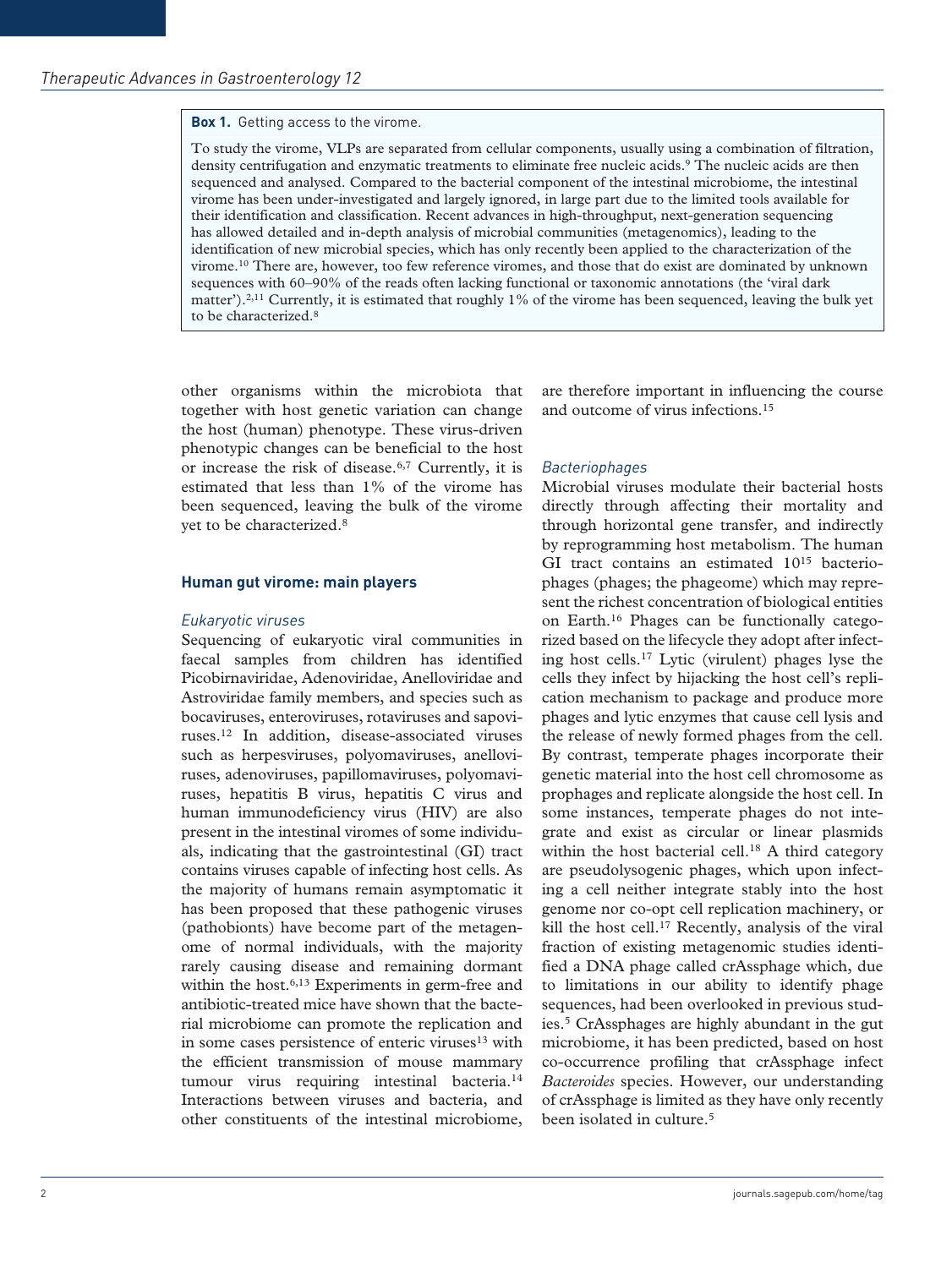#### **Box 1.** Getting access to the virome.

To study the virome, VLPs are separated from cellular components, usually using a combination of filtration, density centrifugation and enzymatic treatments to eliminate free nucleic acids.9 The nucleic acids are then sequenced and analysed. Compared to the bacterial component of the intestinal microbiome, the intestinal virome has been under-investigated and largely ignored, in large part due to the limited tools available for their identification and classification. Recent advances in high-throughput, next-generation sequencing has allowed detailed and in-depth analysis of microbial communities (metagenomics), leading to the identification of new microbial species, which has only recently been applied to the characterization of the virome.10 There are, however, too few reference viromes, and those that do exist are dominated by unknown sequences with 60–90% of the reads often lacking functional or taxonomic annotations (the 'viral dark matter').<sup>2,11</sup> Currently, it is estimated that roughly  $1\%$  of the virome has been sequenced, leaving the bulk yet to be characterized.<sup>8</sup>

other organisms within the microbiota that together with host genetic variation can change the host (human) phenotype. These virus-driven phenotypic changes can be beneficial to the host or increase the risk of disease.6,7 Currently, it is estimated that less than 1% of the virome has been sequenced, leaving the bulk of the virome yet to be characterized.8

#### **Human gut virome: main players**

#### *Eukaryotic viruses*

Sequencing of eukaryotic viral communities in faecal samples from children has identified Picobirnaviridae, Adenoviridae, Anelloviridae and Astroviridae family members, and species such as bocaviruses, enteroviruses, rotaviruses and sapoviruses.12 In addition, disease-associated viruses such as herpesviruses, polyomaviruses, anelloviruses, adenoviruses, papillomaviruses, polyomaviruses, hepatitis B virus, hepatitis C virus and human immunodeficiency virus (HIV) are also present in the intestinal viromes of some individuals, indicating that the gastrointestinal (GI) tract contains viruses capable of infecting host cells. As the majority of humans remain asymptomatic it has been proposed that these pathogenic viruses (pathobionts) have become part of the metagenome of normal individuals, with the majority rarely causing disease and remaining dormant within the host.<sup>6,13</sup> Experiments in germ-free and antibiotic-treated mice have shown that the bacterial microbiome can promote the replication and in some cases persistence of enteric viruses<sup>13</sup> with the efficient transmission of mouse mammary tumour virus requiring intestinal bacteria.14 Interactions between viruses and bacteria, and other constituents of the intestinal microbiome, are therefore important in influencing the course and outcome of virus infections.15

## *Bacteriophages*

Microbial viruses modulate their bacterial hosts directly through affecting their mortality and through horizontal gene transfer, and indirectly by reprogramming host metabolism. The human GI tract contains an estimated  $10^{15}$  bacteriophages (phages; the phageome) which may represent the richest concentration of biological entities on Earth.16 Phages can be functionally categorized based on the lifecycle they adopt after infecting host cells.17 Lytic (virulent) phages lyse the cells they infect by hijacking the host cell's replication mechanism to package and produce more phages and lytic enzymes that cause cell lysis and the release of newly formed phages from the cell. By contrast, temperate phages incorporate their genetic material into the host cell chromosome as prophages and replicate alongside the host cell. In some instances, temperate phages do not integrate and exist as circular or linear plasmids within the host bacterial cell.<sup>18</sup> A third category are pseudolysogenic phages, which upon infecting a cell neither integrate stably into the host genome nor co-opt cell replication machinery, or kill the host cell.<sup>17</sup> Recently, analysis of the viral fraction of existing metagenomic studies identified a DNA phage called crAssphage which, due to limitations in our ability to identify phage sequences, had been overlooked in previous studies.5 CrAssphages are highly abundant in the gut microbiome, it has been predicted, based on host co-occurrence profiling that crAssphage infect *Bacteroides* species. However, our understanding of crAssphage is limited as they have only recently been isolated in culture.<sup>5</sup>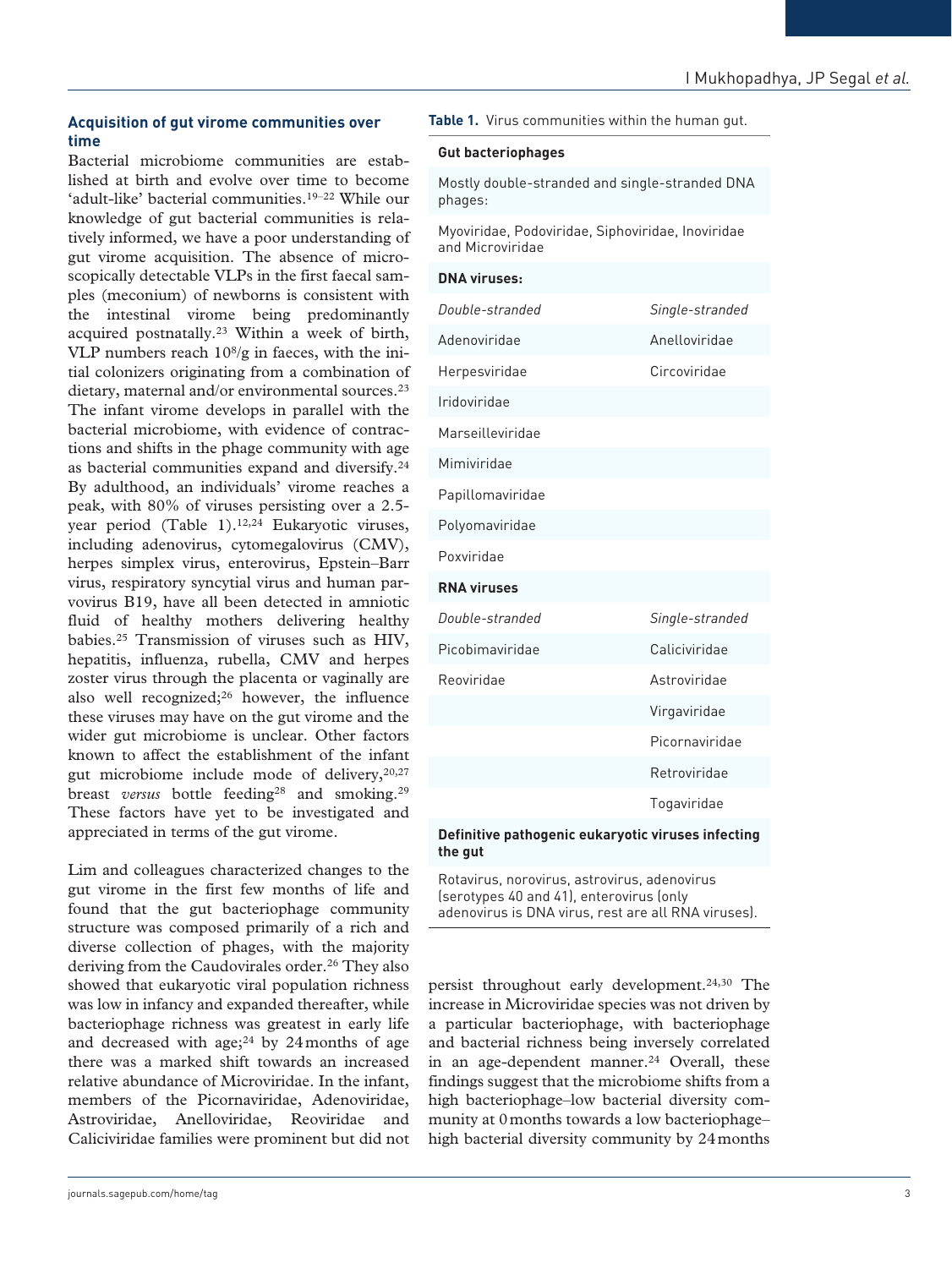## **Acquisition of gut virome communities over time**

Bacterial microbiome communities are established at birth and evolve over time to become 'adult-like' bacterial communities.19–22 While our knowledge of gut bacterial communities is relatively informed, we have a poor understanding of gut virome acquisition. The absence of microscopically detectable VLPs in the first faecal samples (meconium) of newborns is consistent with the intestinal virome being predominantly acquired postnatally.23 Within a week of birth, VLP numbers reach  $10<sup>8</sup>/g$  in faeces, with the initial colonizers originating from a combination of dietary, maternal and/or environmental sources.<sup>23</sup> The infant virome develops in parallel with the bacterial microbiome, with evidence of contractions and shifts in the phage community with age as bacterial communities expand and diversify.24 By adulthood, an individuals' virome reaches a peak, with 80% of viruses persisting over a 2.5 year period (Table 1).<sup>12,24</sup> Eukaryotic viruses, including adenovirus, cytomegalovirus (CMV), herpes simplex virus, enterovirus, Epstein–Barr virus, respiratory syncytial virus and human parvovirus B19, have all been detected in amniotic fluid of healthy mothers delivering healthy babies.25 Transmission of viruses such as HIV, hepatitis, influenza, rubella, CMV and herpes zoster virus through the placenta or vaginally are also well recognized; $26$  however, the influence these viruses may have on the gut virome and the wider gut microbiome is unclear. Other factors known to affect the establishment of the infant gut microbiome include mode of delivery,  $20,27$ breast *versus* bottle feeding<sup>28</sup> and smoking.<sup>29</sup> These factors have yet to be investigated and appreciated in terms of the gut virome.

Lim and colleagues characterized changes to the gut virome in the first few months of life and found that the gut bacteriophage community structure was composed primarily of a rich and diverse collection of phages, with the majority deriving from the Caudovirales order.<sup>26</sup> They also showed that eukaryotic viral population richness was low in infancy and expanded thereafter, while bacteriophage richness was greatest in early life and decreased with age;<sup>24</sup> by 24 months of age there was a marked shift towards an increased relative abundance of Microviridae. In the infant, members of the Picornaviridae, Adenoviridae, Astroviridae, Anelloviridae, Reoviridae and Caliciviridae families were prominent but did not **Table 1.** Virus communities within the human gut.

## **Gut bacteriophages**

Mostly double-stranded and single-stranded DNA phages:

Myoviridae, Podoviridae, Siphoviridae, Inoviridae and Microviridae

#### **DNA viruses:**

| Double-stranded    | Single-stranded |  |  |
|--------------------|-----------------|--|--|
| Adenoviridae       | Anelloviridae   |  |  |
| Herpesviridae      | Circoviridae    |  |  |
| Iridoviridae       |                 |  |  |
| Marseilleviridae   |                 |  |  |
| Mimiviridae        |                 |  |  |
| Papillomaviridae   |                 |  |  |
| Polyomaviridae     |                 |  |  |
| Poxviridae         |                 |  |  |
| <b>RNA viruses</b> |                 |  |  |
|                    |                 |  |  |
| Double-stranded    | Single-stranded |  |  |
| Picobimaviridae    | Caliciviridae   |  |  |
| Reoviridae         | Astroviridae    |  |  |
|                    | Virgaviridae    |  |  |
|                    | Picornaviridae  |  |  |
|                    | Retroviridae    |  |  |
|                    | Togaviridae     |  |  |

## **Definitive pathogenic eukaryotic viruses infecting the gut**

Rotavirus, norovirus, astrovirus, adenovirus (serotypes 40 and 41), enterovirus (only adenovirus is DNA virus, rest are all RNA viruses).

persist throughout early development.24,30 The increase in Microviridae species was not driven by a particular bacteriophage, with bacteriophage and bacterial richness being inversely correlated in an age-dependent manner.<sup>24</sup> Overall, these findings suggest that the microbiome shifts from a high bacteriophage–low bacterial diversity community at 0months towards a low bacteriophage– high bacterial diversity community by 24months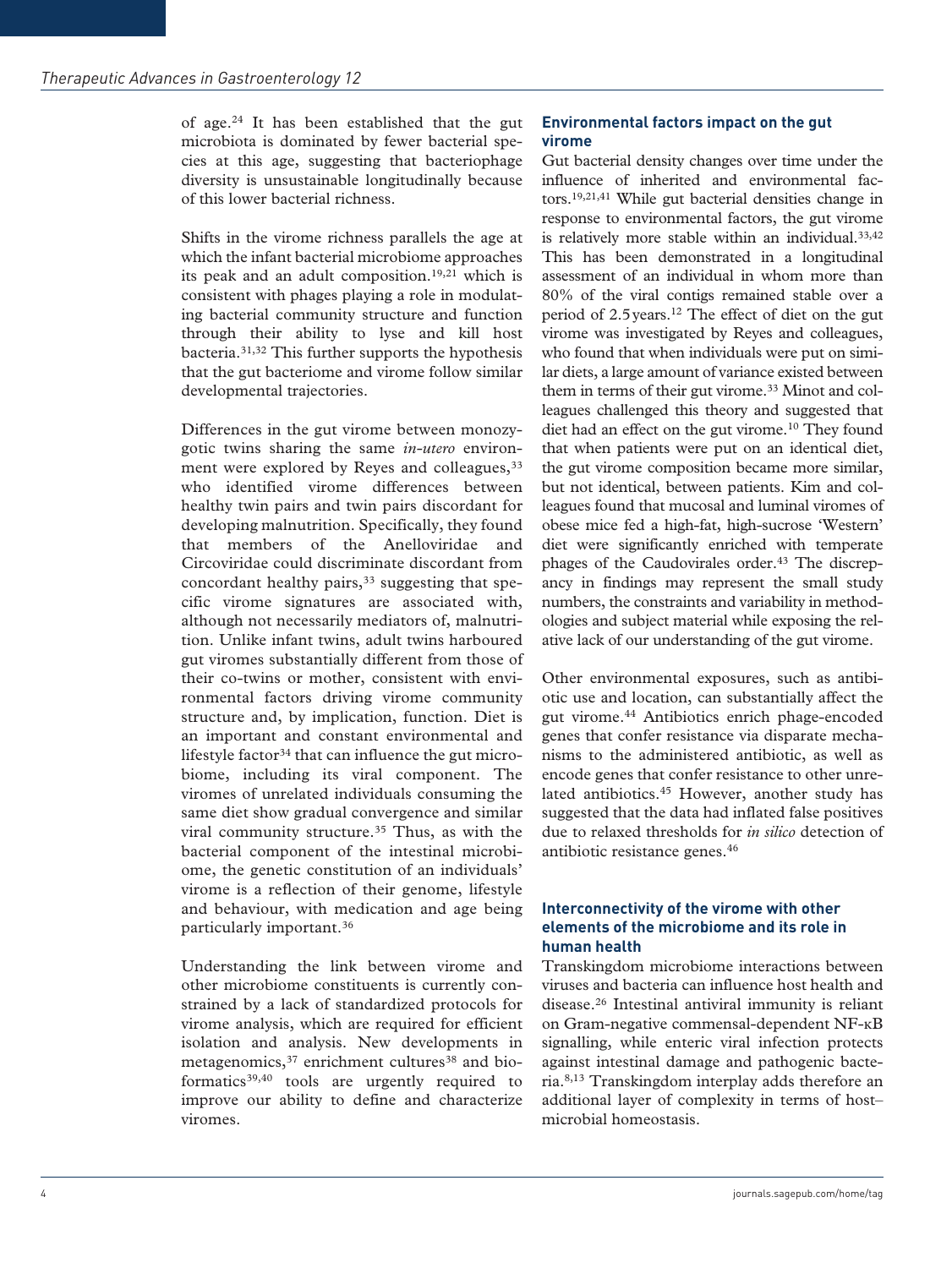of age.24 It has been established that the gut microbiota is dominated by fewer bacterial species at this age, suggesting that bacteriophage diversity is unsustainable longitudinally because of this lower bacterial richness.

Shifts in the virome richness parallels the age at which the infant bacterial microbiome approaches its peak and an adult composition.<sup>19,21</sup> which is consistent with phages playing a role in modulating bacterial community structure and function through their ability to lyse and kill host bacteria.31,32 This further supports the hypothesis that the gut bacteriome and virome follow similar developmental trajectories.

Differences in the gut virome between monozygotic twins sharing the same *in-utero* environment were explored by Reyes and colleagues, 33 who identified virome differences between healthy twin pairs and twin pairs discordant for developing malnutrition. Specifically, they found that members of the Anelloviridae and Circoviridae could discriminate discordant from concordant healthy pairs,<sup>33</sup> suggesting that specific virome signatures are associated with, although not necessarily mediators of, malnutrition. Unlike infant twins, adult twins harboured gut viromes substantially different from those of their co-twins or mother, consistent with environmental factors driving virome community structure and, by implication, function. Diet is an important and constant environmental and lifestyle factor $34$  that can influence the gut microbiome, including its viral component. The viromes of unrelated individuals consuming the same diet show gradual convergence and similar viral community structure.<sup>35</sup> Thus, as with the bacterial component of the intestinal microbiome, the genetic constitution of an individuals' virome is a reflection of their genome, lifestyle and behaviour, with medication and age being particularly important.36

Understanding the link between virome and other microbiome constituents is currently constrained by a lack of standardized protocols for virome analysis, which are required for efficient isolation and analysis. New developments in metagenomics, $37$  enrichment cultures $38$  and bioformatics $39,40$  tools are urgently required to improve our ability to define and characterize viromes.

## **Environmental factors impact on the gut virome**

Gut bacterial density changes over time under the influence of inherited and environmental factors.19,21,41 While gut bacterial densities change in response to environmental factors, the gut virome is relatively more stable within an individual.<sup>33,42</sup> This has been demonstrated in a longitudinal assessment of an individual in whom more than 80% of the viral contigs remained stable over a period of 2.5years.12 The effect of diet on the gut virome was investigated by Reyes and colleagues, who found that when individuals were put on similar diets, a large amount of variance existed between them in terms of their gut virome.<sup>33</sup> Minot and colleagues challenged this theory and suggested that diet had an effect on the gut virome.<sup>10</sup> They found that when patients were put on an identical diet, the gut virome composition became more similar, but not identical, between patients. Kim and colleagues found that mucosal and luminal viromes of obese mice fed a high-fat, high-sucrose 'Western' diet were significantly enriched with temperate phages of the Caudovirales order.<sup>43</sup> The discrepancy in findings may represent the small study numbers, the constraints and variability in methodologies and subject material while exposing the relative lack of our understanding of the gut virome.

Other environmental exposures, such as antibiotic use and location, can substantially affect the gut virome.44 Antibiotics enrich phage-encoded genes that confer resistance via disparate mechanisms to the administered antibiotic, as well as encode genes that confer resistance to other unrelated antibiotics.<sup>45</sup> However, another study has suggested that the data had inflated false positives due to relaxed thresholds for *in silico* detection of antibiotic resistance genes.46

## **Interconnectivity of the virome with other elements of the microbiome and its role in human health**

Transkingdom microbiome interactions between viruses and bacteria can influence host health and disease.26 Intestinal antiviral immunity is reliant on Gram-negative commensal-dependent NF-ĸB signalling, while enteric viral infection protects against intestinal damage and pathogenic bacteria.8,13 Transkingdom interplay adds therefore an additional layer of complexity in terms of host– microbial homeostasis.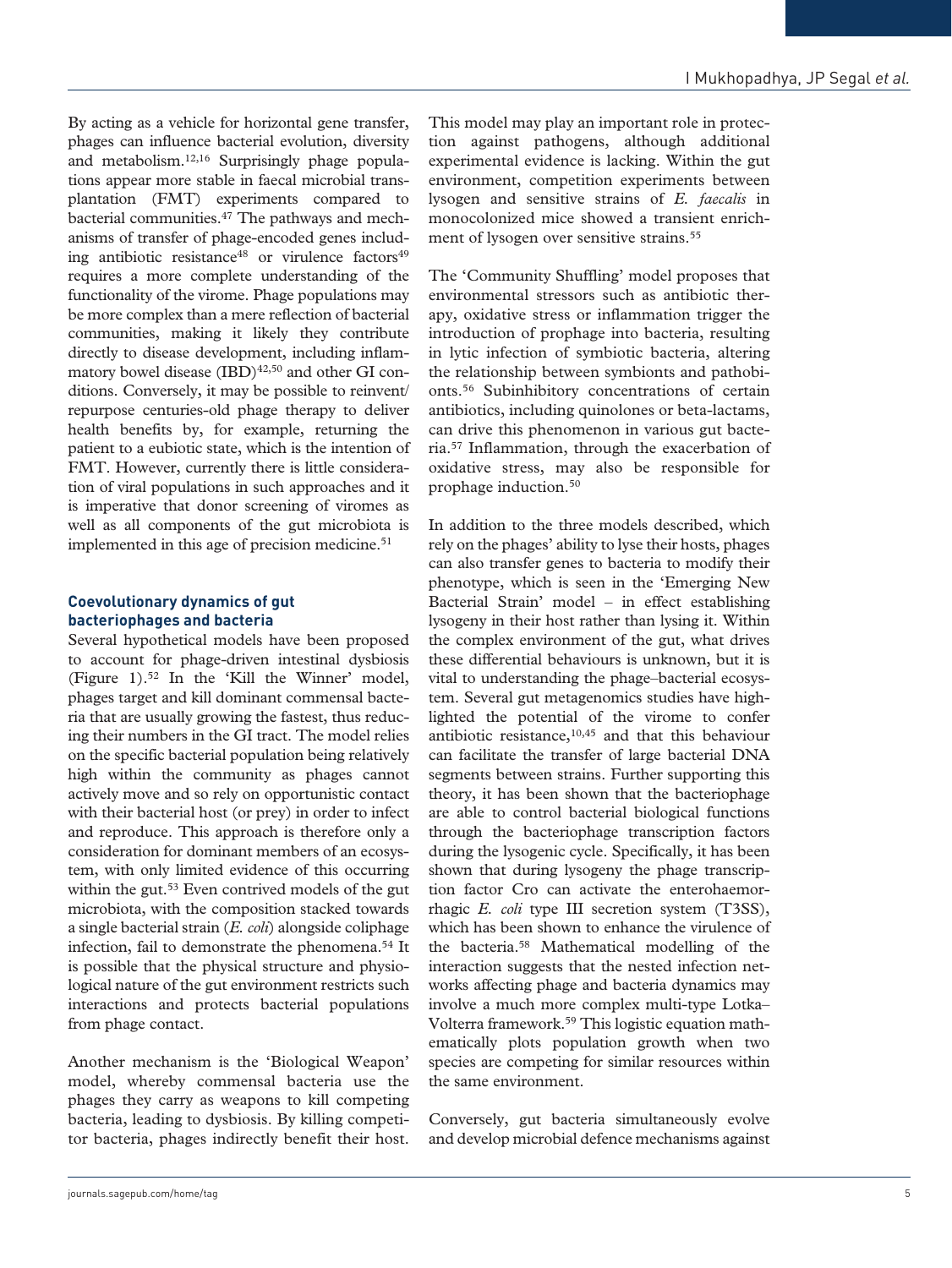By acting as a vehicle for horizontal gene transfer, phages can influence bacterial evolution, diversity and metabolism.12,16 Surprisingly phage populations appear more stable in faecal microbial transplantation (FMT) experiments compared to bacterial communities.47 The pathways and mechanisms of transfer of phage-encoded genes including antibiotic resistance<sup>48</sup> or virulence factors<sup>49</sup> requires a more complete understanding of the functionality of the virome. Phage populations may be more complex than a mere reflection of bacterial communities, making it likely they contribute directly to disease development, including inflammatory bowel disease  $(IBD)^{42,50}$  and other GI conditions. Conversely, it may be possible to reinvent/ repurpose centuries-old phage therapy to deliver health benefits by, for example, returning the patient to a eubiotic state, which is the intention of FMT. However, currently there is little consideration of viral populations in such approaches and it is imperative that donor screening of viromes as well as all components of the gut microbiota is implemented in this age of precision medicine.<sup>51</sup>

## **Coevolutionary dynamics of gut bacteriophages and bacteria**

Several hypothetical models have been proposed to account for phage-driven intestinal dysbiosis (Figure 1).52 In the 'Kill the Winner' model, phages target and kill dominant commensal bacteria that are usually growing the fastest, thus reducing their numbers in the GI tract. The model relies on the specific bacterial population being relatively high within the community as phages cannot actively move and so rely on opportunistic contact with their bacterial host (or prey) in order to infect and reproduce. This approach is therefore only a consideration for dominant members of an ecosystem, with only limited evidence of this occurring within the gut.<sup>53</sup> Even contrived models of the gut microbiota, with the composition stacked towards a single bacterial strain (*E. coli*) alongside coliphage infection, fail to demonstrate the phenomena.54 It is possible that the physical structure and physiological nature of the gut environment restricts such interactions and protects bacterial populations from phage contact.

Another mechanism is the 'Biological Weapon' model, whereby commensal bacteria use the phages they carry as weapons to kill competing bacteria, leading to dysbiosis. By killing competitor bacteria, phages indirectly benefit their host.

This model may play an important role in protection against pathogens, although additional experimental evidence is lacking. Within the gut environment, competition experiments between lysogen and sensitive strains of *E. faecalis* in monocolonized mice showed a transient enrichment of lysogen over sensitive strains.<sup>55</sup>

The 'Community Shuffling' model proposes that environmental stressors such as antibiotic therapy, oxidative stress or inflammation trigger the introduction of prophage into bacteria, resulting in lytic infection of symbiotic bacteria, altering the relationship between symbionts and pathobionts.56 Subinhibitory concentrations of certain antibiotics, including quinolones or beta-lactams, can drive this phenomenon in various gut bacteria.57 Inflammation, through the exacerbation of oxidative stress, may also be responsible for prophage induction.50

In addition to the three models described, which rely on the phages' ability to lyse their hosts, phages can also transfer genes to bacteria to modify their phenotype, which is seen in the 'Emerging New Bacterial Strain' model – in effect establishing lysogeny in their host rather than lysing it. Within the complex environment of the gut, what drives these differential behaviours is unknown, but it is vital to understanding the phage–bacterial ecosystem. Several gut metagenomics studies have highlighted the potential of the virome to confer antibiotic resistance,10,45 and that this behaviour can facilitate the transfer of large bacterial DNA segments between strains. Further supporting this theory, it has been shown that the bacteriophage are able to control bacterial biological functions through the bacteriophage transcription factors during the lysogenic cycle. Specifically, it has been shown that during lysogeny the phage transcription factor Cro can activate the enterohaemorrhagic *E. coli* type III secretion system (T3SS), which has been shown to enhance the virulence of the bacteria.58 Mathematical modelling of the interaction suggests that the nested infection networks affecting phage and bacteria dynamics may involve a much more complex multi-type Lotka– Volterra framework.59 This logistic equation mathematically plots population growth when two species are competing for similar resources within the same environment.

Conversely, gut bacteria simultaneously evolve and develop microbial defence mechanisms against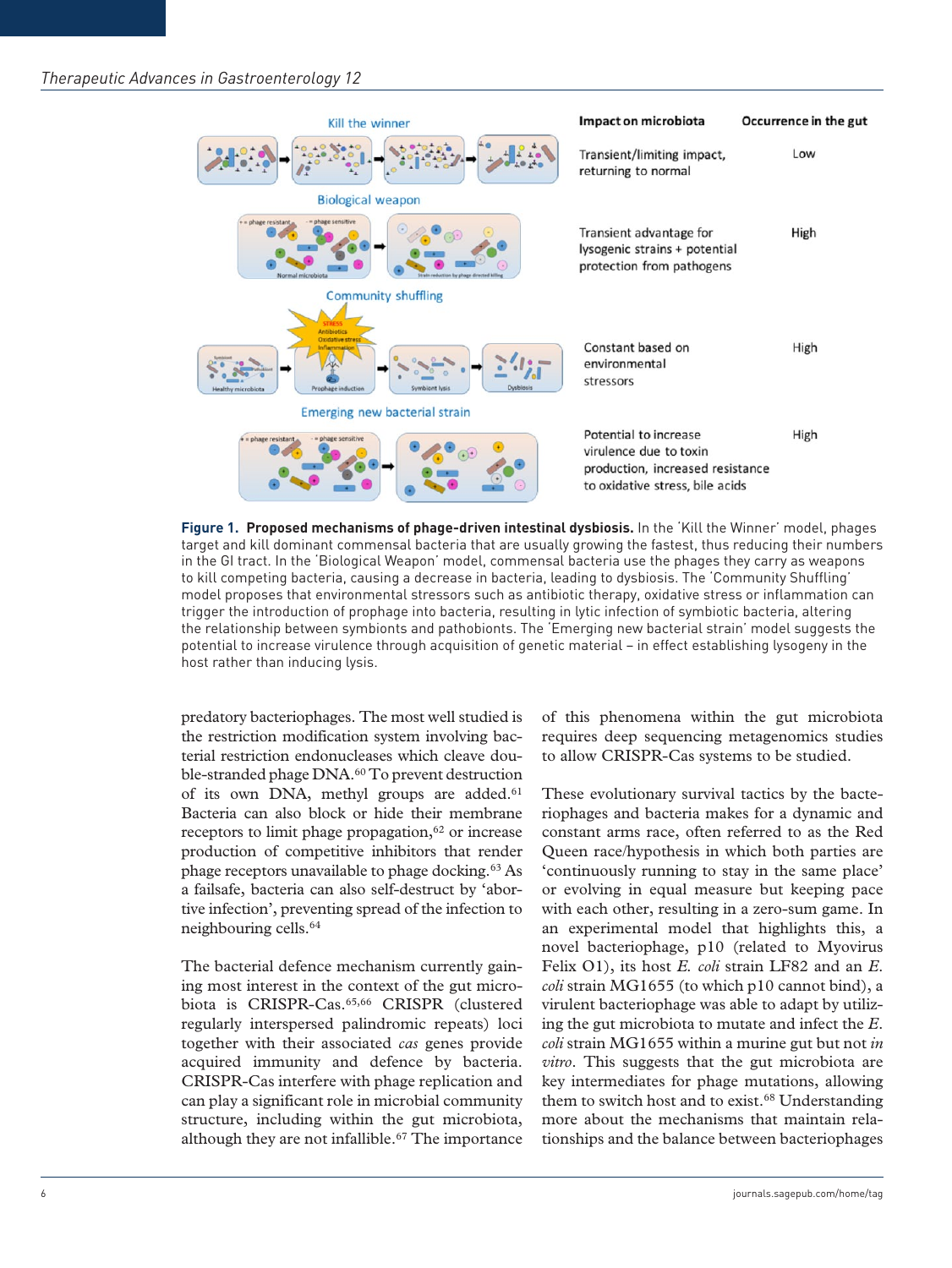

**Figure 1. Proposed mechanisms of phage-driven intestinal dysbiosis.** In the 'Kill the Winner' model, phages target and kill dominant commensal bacteria that are usually growing the fastest, thus reducing their numbers in the GI tract. In the 'Biological Weapon' model, commensal bacteria use the phages they carry as weapons to kill competing bacteria, causing a decrease in bacteria, leading to dysbiosis. The 'Community Shuffling' model proposes that environmental stressors such as antibiotic therapy, oxidative stress or inflammation can trigger the introduction of prophage into bacteria, resulting in lytic infection of symbiotic bacteria, altering the relationship between symbionts and pathobionts. The 'Emerging new bacterial strain' model suggests the potential to increase virulence through acquisition of genetic material – in effect establishing lysogeny in the host rather than inducing lysis.

predatory bacteriophages. The most well studied is the restriction modification system involving bacterial restriction endonucleases which cleave double-stranded phage DNA.<sup>60</sup> To prevent destruction of its own DNA, methyl groups are added.<sup>61</sup> Bacteria can also block or hide their membrane receptors to limit phage propagation, $62$  or increase production of competitive inhibitors that render phage receptors unavailable to phage docking.63 As a failsafe, bacteria can also self-destruct by 'abortive infection', preventing spread of the infection to neighbouring cells.64

The bacterial defence mechanism currently gaining most interest in the context of the gut microbiota is CRISPR-Cas.<sup>65,66</sup> CRISPR (clustered regularly interspersed palindromic repeats) loci together with their associated *cas* genes provide acquired immunity and defence by bacteria. CRISPR-Cas interfere with phage replication and can play a significant role in microbial community structure, including within the gut microbiota, although they are not infallible.<sup>67</sup> The importance of this phenomena within the gut microbiota requires deep sequencing metagenomics studies to allow CRISPR-Cas systems to be studied.

These evolutionary survival tactics by the bacteriophages and bacteria makes for a dynamic and constant arms race, often referred to as the Red Queen race/hypothesis in which both parties are 'continuously running to stay in the same place' or evolving in equal measure but keeping pace with each other, resulting in a zero-sum game. In an experimental model that highlights this, a novel bacteriophage, p10 (related to Myovirus Felix O1), its host *E. coli* strain LF82 and an *E*. *coli* strain MG1655 (to which p10 cannot bind), a virulent bacteriophage was able to adapt by utilizing the gut microbiota to mutate and infect the *E*. *coli* strain MG1655 within a murine gut but not *in vitro*. This suggests that the gut microbiota are key intermediates for phage mutations, allowing them to switch host and to exist.<sup>68</sup> Understanding more about the mechanisms that maintain relationships and the balance between bacteriophages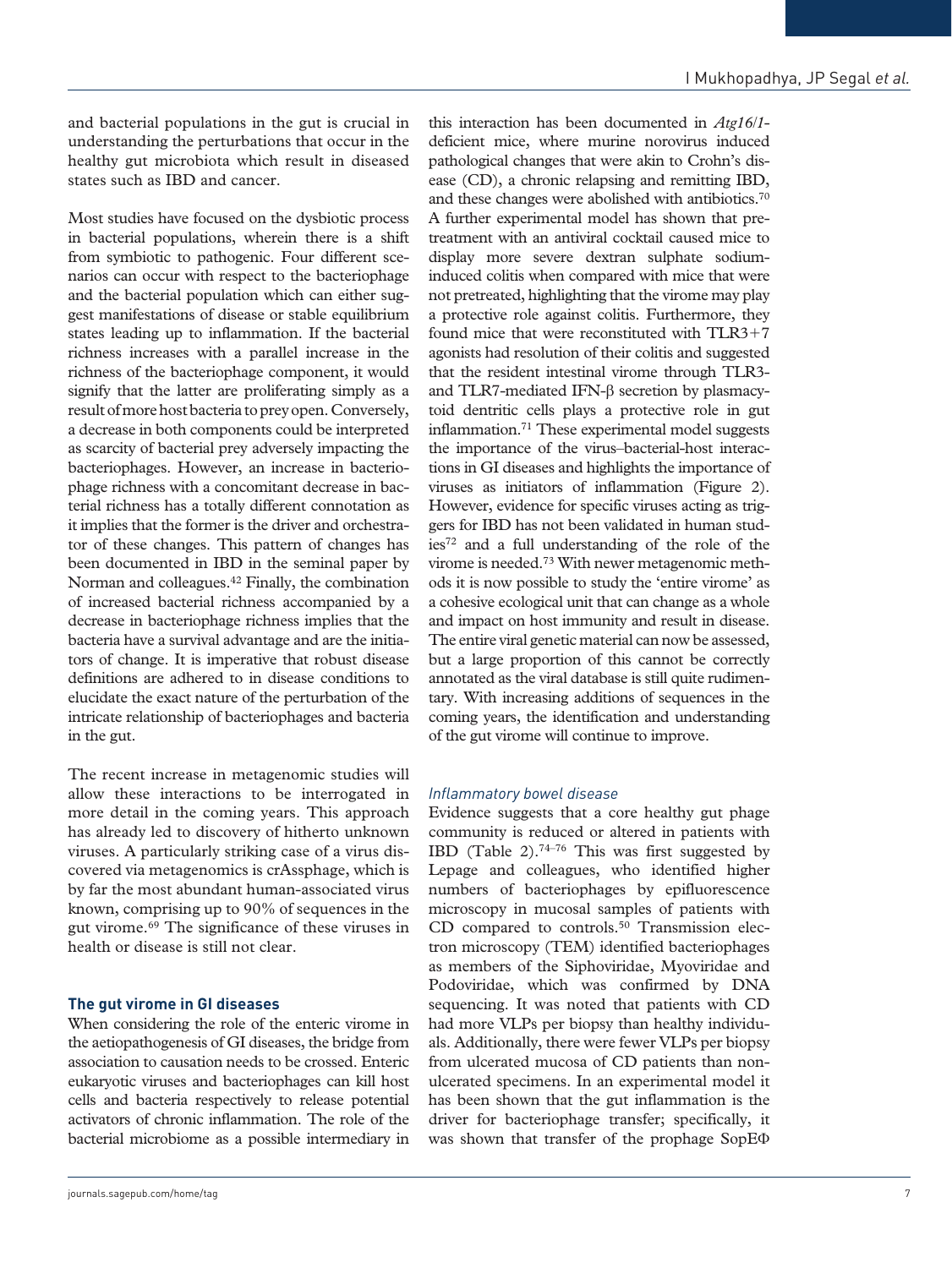and bacterial populations in the gut is crucial in understanding the perturbations that occur in the healthy gut microbiota which result in diseased states such as IBD and cancer.

Most studies have focused on the dysbiotic process in bacterial populations, wherein there is a shift from symbiotic to pathogenic. Four different scenarios can occur with respect to the bacteriophage and the bacterial population which can either suggest manifestations of disease or stable equilibrium states leading up to inflammation. If the bacterial richness increases with a parallel increase in the richness of the bacteriophage component, it would signify that the latter are proliferating simply as a result of more host bacteria to prey open. Conversely, a decrease in both components could be interpreted as scarcity of bacterial prey adversely impacting the bacteriophages. However, an increase in bacteriophage richness with a concomitant decrease in bacterial richness has a totally different connotation as it implies that the former is the driver and orchestrator of these changes. This pattern of changes has been documented in IBD in the seminal paper by Norman and colleagues.42 Finally, the combination of increased bacterial richness accompanied by a decrease in bacteriophage richness implies that the bacteria have a survival advantage and are the initiators of change. It is imperative that robust disease definitions are adhered to in disease conditions to elucidate the exact nature of the perturbation of the intricate relationship of bacteriophages and bacteria in the gut.

The recent increase in metagenomic studies will allow these interactions to be interrogated in more detail in the coming years. This approach has already led to discovery of hitherto unknown viruses. A particularly striking case of a virus discovered via metagenomics is crAssphage, which is by far the most abundant human-associated virus known, comprising up to 90% of sequences in the gut virome.69 The significance of these viruses in health or disease is still not clear.

## **The gut virome in GI diseases**

When considering the role of the enteric virome in the aetiopathogenesis of GI diseases, the bridge from association to causation needs to be crossed. Enteric eukaryotic viruses and bacteriophages can kill host cells and bacteria respectively to release potential activators of chronic inflammation. The role of the bacterial microbiome as a possible intermediary in

this interaction has been documented in *Atg16/1* deficient mice, where murine norovirus induced pathological changes that were akin to Crohn's disease (CD), a chronic relapsing and remitting IBD, and these changes were abolished with antibiotics.70 A further experimental model has shown that pretreatment with an antiviral cocktail caused mice to display more severe dextran sulphate sodiuminduced colitis when compared with mice that were not pretreated, highlighting that the virome may play a protective role against colitis. Furthermore, they found mice that were reconstituted with TLR3+7 agonists had resolution of their colitis and suggested that the resident intestinal virome through TLR3 and TLR7-mediated IFN-β secretion by plasmacytoid dentritic cells plays a protective role in gut inflammation.71 These experimental model suggests the importance of the virus–bacterial-host interactions in GI diseases and highlights the importance of viruses as initiators of inflammation (Figure 2). However, evidence for specific viruses acting as triggers for IBD has not been validated in human studies72 and a full understanding of the role of the virome is needed.73 With newer metagenomic methods it is now possible to study the 'entire virome' as a cohesive ecological unit that can change as a whole and impact on host immunity and result in disease. The entire viral genetic material can now be assessed, but a large proportion of this cannot be correctly annotated as the viral database is still quite rudimentary. With increasing additions of sequences in the coming years, the identification and understanding of the gut virome will continue to improve.

## *Inflammatory bowel disease*

Evidence suggests that a core healthy gut phage community is reduced or altered in patients with IBD (Table 2).74–76 This was first suggested by Lepage and colleagues, who identified higher numbers of bacteriophages by epifluorescence microscopy in mucosal samples of patients with CD compared to controls.<sup>50</sup> Transmission electron microscopy (TEM) identified bacteriophages as members of the Siphoviridae, Myoviridae and Podoviridae, which was confirmed by DNA sequencing. It was noted that patients with CD had more VLPs per biopsy than healthy individuals. Additionally, there were fewer VLPs per biopsy from ulcerated mucosa of CD patients than nonulcerated specimens. In an experimental model it has been shown that the gut inflammation is the driver for bacteriophage transfer; specifically, it was shown that transfer of the prophage SopEΦ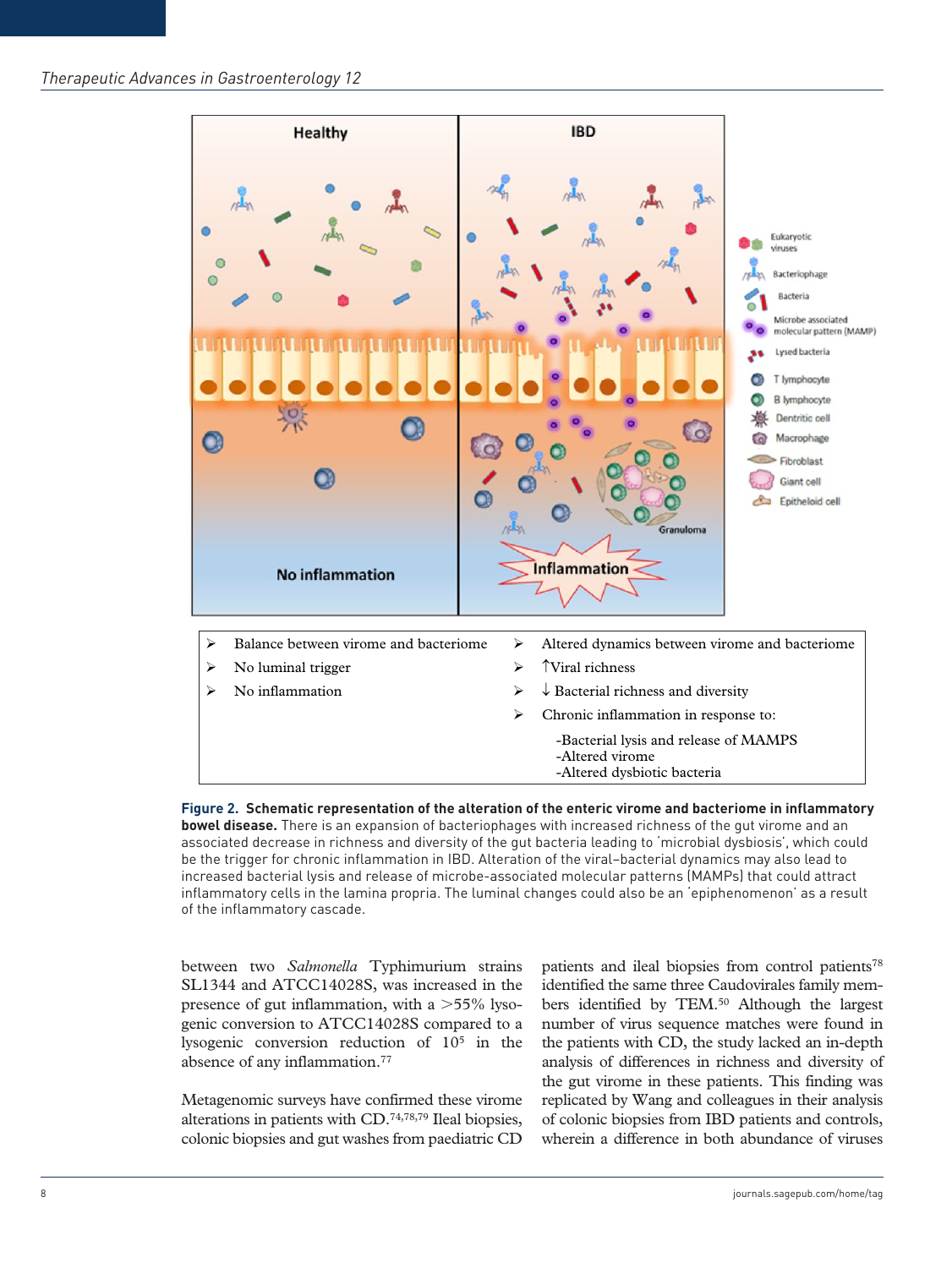

**Figure 2. Schematic representation of the alteration of the enteric virome and bacteriome in inflammatory bowel disease.** There is an expansion of bacteriophages with increased richness of the gut virome and an associated decrease in richness and diversity of the gut bacteria leading to 'microbial dysbiosis', which could be the trigger for chronic inflammation in IBD. Alteration of the viral–bacterial dynamics may also lead to increased bacterial lysis and release of microbe-associated molecular patterns (MAMPs) that could attract inflammatory cells in the lamina propria. The luminal changes could also be an 'epiphenomenon' as a result of the inflammatory cascade.

between two *Salmonella* Typhimurium strains SL1344 and ATCC14028S, was increased in the presence of gut inflammation, with a >55% lysogenic conversion to ATCC14028S compared to a lysogenic conversion reduction of 105 in the absence of any inflammation.<sup>77</sup>

Metagenomic surveys have confirmed these virome alterations in patients with CD.74,78,79 Ileal biopsies, colonic biopsies and gut washes from paediatric CD patients and ileal biopsies from control patients<sup>78</sup> identified the same three Caudovirales family members identified by TEM.50 Although the largest number of virus sequence matches were found in the patients with CD, the study lacked an in-depth analysis of differences in richness and diversity of the gut virome in these patients. This finding was replicated by Wang and colleagues in their analysis of colonic biopsies from IBD patients and controls, wherein a difference in both abundance of viruses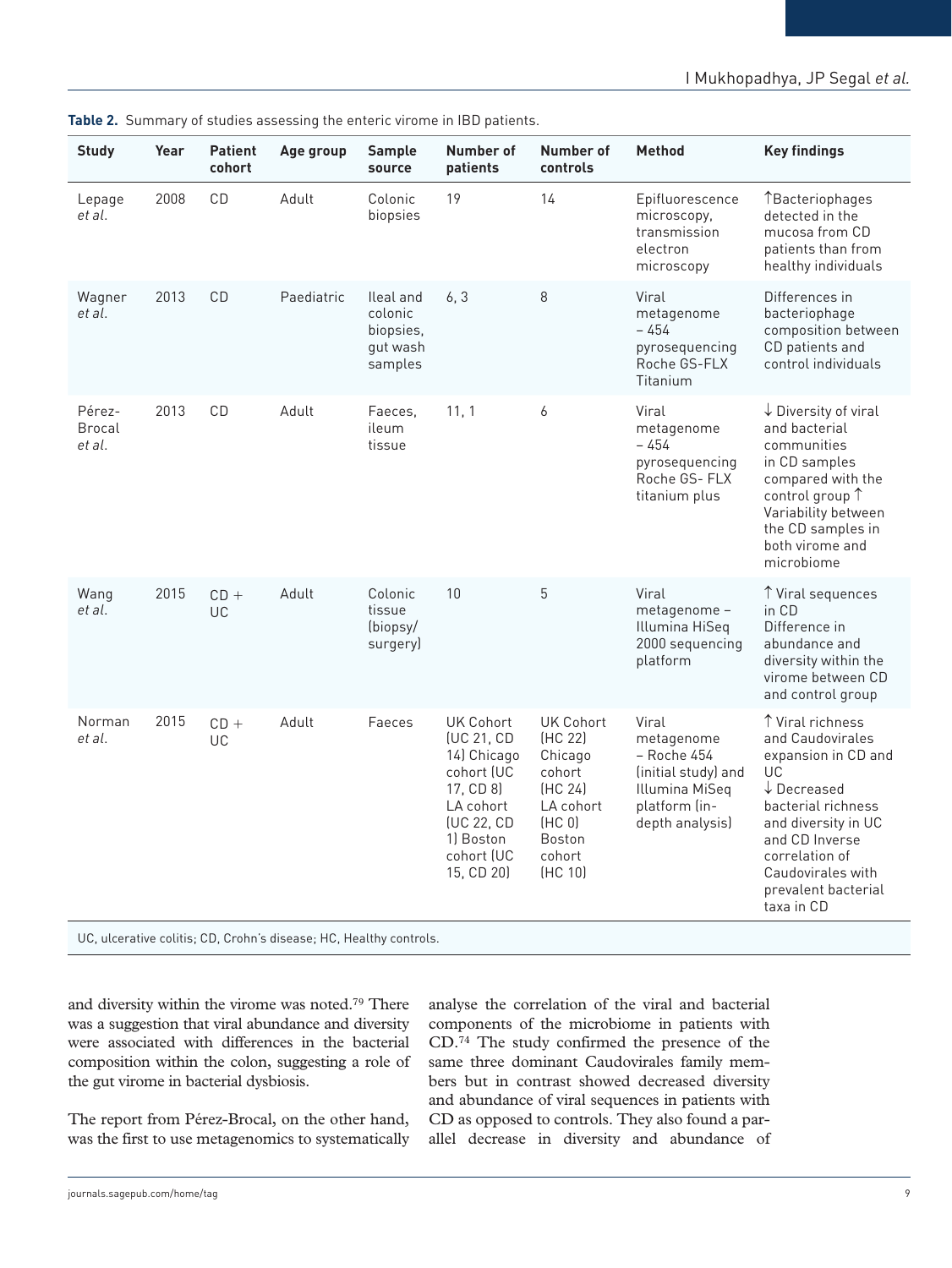| Year | <b>Patient</b><br>cohort | Age group  | <b>Sample</b><br>source                                  | Number of<br>patients                                                                                                                        | Number of<br>controls                                                                                                                            | <b>Method</b>                                                                                                   | <b>Key findings</b>                                                                                                                                                                                                                             |
|------|--------------------------|------------|----------------------------------------------------------|----------------------------------------------------------------------------------------------------------------------------------------------|--------------------------------------------------------------------------------------------------------------------------------------------------|-----------------------------------------------------------------------------------------------------------------|-------------------------------------------------------------------------------------------------------------------------------------------------------------------------------------------------------------------------------------------------|
| 2008 | CD                       | Adult      | Colonic<br>biopsies                                      | 19                                                                                                                                           | 14                                                                                                                                               | Epifluorescence<br>microscopy,<br>transmission<br>electron<br>microscopy                                        | <b>T</b> Bacteriophages<br>detected in the<br>mucosa from CD<br>patients than from<br>healthy individuals                                                                                                                                       |
| 2013 | <b>CD</b>                | Paediatric | Ileal and<br>colonic<br>biopsies,<br>gut wash<br>samples | 6, 3                                                                                                                                         | 8                                                                                                                                                | Viral<br>metagenome<br>- 454<br>pyrosequencing<br>Roche GS-FLX<br>Titanium                                      | Differences in<br>bacteriophage<br>composition between<br>CD patients and<br>control individuals                                                                                                                                                |
| 2013 | <b>CD</b>                | Adult      | Faeces,<br>ileum<br>tissue                               | 11, 1                                                                                                                                        | 6                                                                                                                                                | Viral<br>metagenome<br>- 454<br>pyrosequencing<br>Roche GS- FLX<br>titanium plus                                | $\downarrow$ Diversity of viral<br>and bacterial<br>communities<br>in CD samples<br>compared with the<br>control group 1<br>Variability between<br>the CD samples in<br>both virome and<br>microbiome                                           |
| 2015 | $CD +$<br>UC             | Adult      | Colonic<br>tissue<br>(biopsy/<br>surgery)                | 10                                                                                                                                           | 5                                                                                                                                                | Viral<br>metagenome -<br>Illumina HiSeg<br>2000 sequencing<br>platform                                          | ↑ Viral sequences<br>in CD<br>Difference in<br>abundance and<br>diversity within the<br>virome between CD<br>and control group                                                                                                                  |
| 2015 | $CD +$<br>UC             | Adult      | Faeces                                                   | <b>UK Cohort</b><br>(UC 21, CD<br>14) Chicago<br>cohort (UC<br>17, CD 8)<br>LA cohort<br>(UC 22, CD<br>1) Boston<br>cohort (UC<br>15, CD 20) | <b>UK Cohort</b><br>(HC 22)<br>Chicago<br>cohort<br>(HC <sub>24</sub> )<br>LA cohort<br>(HC <sub>0</sub> )<br><b>Boston</b><br>cohort<br>(HC 10) | Viral<br>metagenome<br>- Roche 454<br>(initial study) and<br>Illumina MiSeg<br>platform (in-<br>depth analysis) | $\uparrow$ Viral richness<br>and Caudovirales<br>expansion in CD and<br>UC<br>$\downarrow$ Decreased<br>bacterial richness<br>and diversity in UC<br>and CD Inverse<br>correlation of<br>Caudovirales with<br>prevalent bacterial<br>taxa in CD |
|      |                          |            |                                                          |                                                                                                                                              |                                                                                                                                                  |                                                                                                                 |                                                                                                                                                                                                                                                 |

**Table 2.** Summary of studies assessing the enteric virome in IBD patients.

UC, ulcerative colitis; CD, Crohn's disease; HC, Healthy controls.

and diversity within the virome was noted.79 There was a suggestion that viral abundance and diversity were associated with differences in the bacterial composition within the colon, suggesting a role of the gut virome in bacterial dysbiosis.

The report from Pérez-Brocal, on the other hand, was the first to use metagenomics to systematically

analyse the correlation of the viral and bacterial components of the microbiome in patients with CD.74 The study confirmed the presence of the same three dominant Caudovirales family members but in contrast showed decreased diversity and abundance of viral sequences in patients with CD as opposed to controls. They also found a parallel decrease in diversity and abundance of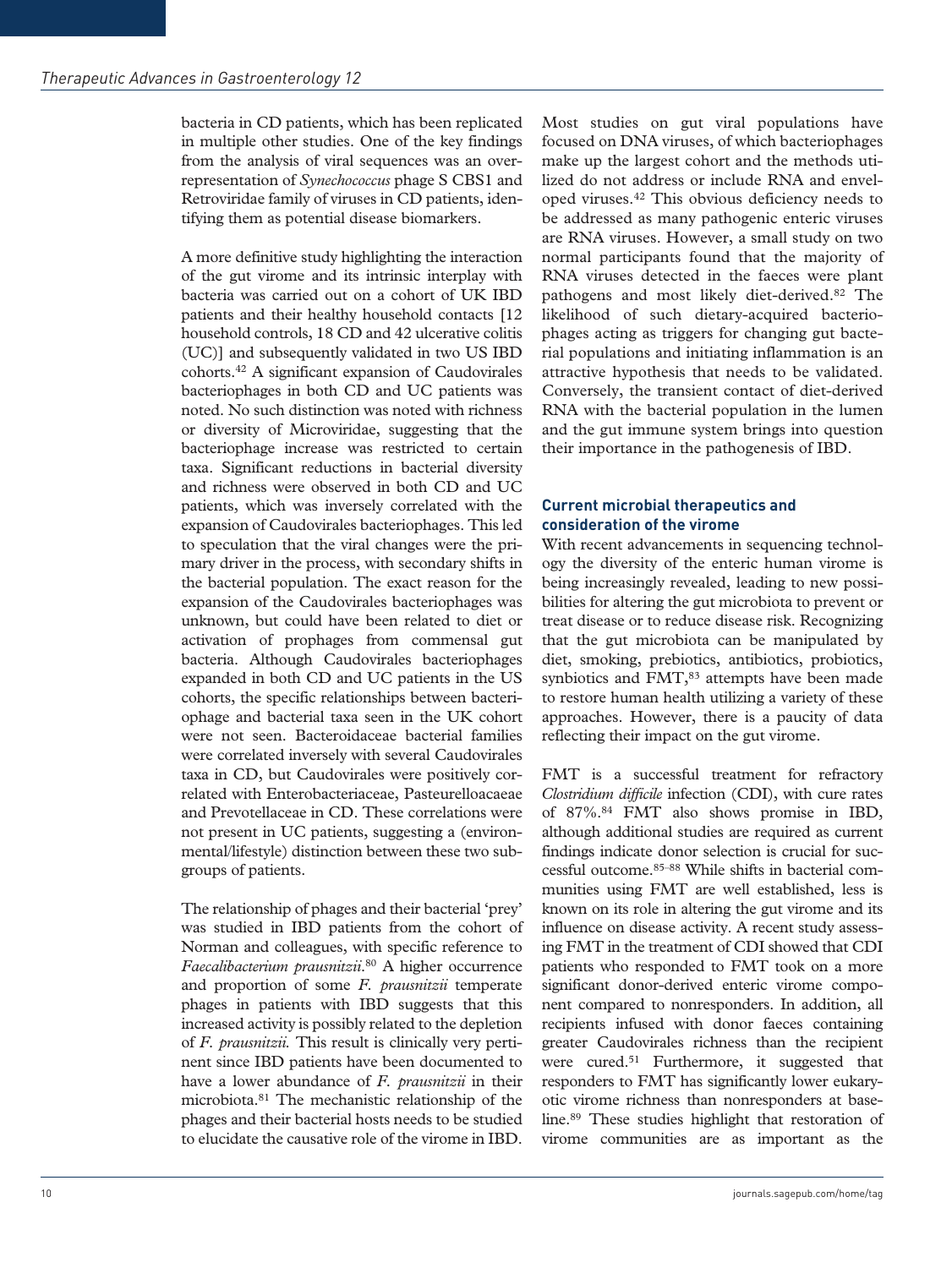bacteria in CD patients, which has been replicated in multiple other studies. One of the key findings from the analysis of viral sequences was an overrepresentation of *Synechococcus* phage S CBS1 and Retroviridae family of viruses in CD patients, identifying them as potential disease biomarkers.

A more definitive study highlighting the interaction of the gut virome and its intrinsic interplay with bacteria was carried out on a cohort of UK IBD patients and their healthy household contacts [12 household controls, 18 CD and 42 ulcerative colitis (UC)] and subsequently validated in two US IBD cohorts.42 A significant expansion of Caudovirales bacteriophages in both CD and UC patients was noted. No such distinction was noted with richness or diversity of Microviridae, suggesting that the bacteriophage increase was restricted to certain taxa. Significant reductions in bacterial diversity and richness were observed in both CD and UC patients, which was inversely correlated with the expansion of Caudovirales bacteriophages. This led to speculation that the viral changes were the primary driver in the process, with secondary shifts in the bacterial population. The exact reason for the expansion of the Caudovirales bacteriophages was unknown, but could have been related to diet or activation of prophages from commensal gut bacteria. Although Caudovirales bacteriophages expanded in both CD and UC patients in the US cohorts, the specific relationships between bacteriophage and bacterial taxa seen in the UK cohort were not seen. Bacteroidaceae bacterial families were correlated inversely with several Caudovirales taxa in CD, but Caudovirales were positively correlated with Enterobacteriaceae, Pasteurelloacaeae and Prevotellaceae in CD. These correlations were not present in UC patients, suggesting a (environmental/lifestyle) distinction between these two subgroups of patients.

The relationship of phages and their bacterial 'prey' was studied in IBD patients from the cohort of Norman and colleagues, with specific reference to *Faecalibacterium prausnitzii*. 80 A higher occurrence and proportion of some *F. prausnitzii* temperate phages in patients with IBD suggests that this increased activity is possibly related to the depletion of *F. prausnitzii.* This result is clinically very pertinent since IBD patients have been documented to have a lower abundance of *F. prausnitzii* in their microbiota.81 The mechanistic relationship of the phages and their bacterial hosts needs to be studied to elucidate the causative role of the virome in IBD.

Most studies on gut viral populations have focused on DNA viruses, of which bacteriophages make up the largest cohort and the methods utilized do not address or include RNA and enveloped viruses.42 This obvious deficiency needs to be addressed as many pathogenic enteric viruses are RNA viruses. However, a small study on two normal participants found that the majority of RNA viruses detected in the faeces were plant pathogens and most likely diet-derived.82 The likelihood of such dietary-acquired bacteriophages acting as triggers for changing gut bacterial populations and initiating inflammation is an attractive hypothesis that needs to be validated. Conversely, the transient contact of diet-derived RNA with the bacterial population in the lumen and the gut immune system brings into question their importance in the pathogenesis of IBD.

## **Current microbial therapeutics and consideration of the virome**

With recent advancements in sequencing technology the diversity of the enteric human virome is being increasingly revealed, leading to new possibilities for altering the gut microbiota to prevent or treat disease or to reduce disease risk. Recognizing that the gut microbiota can be manipulated by diet, smoking, prebiotics, antibiotics, probiotics, synbiotics and FMT,<sup>83</sup> attempts have been made to restore human health utilizing a variety of these approaches. However, there is a paucity of data reflecting their impact on the gut virome.

FMT is a successful treatment for refractory *Clostridium difficile* infection (CDI), with cure rates of 87%.84 FMT also shows promise in IBD, although additional studies are required as current findings indicate donor selection is crucial for successful outcome.85–88 While shifts in bacterial communities using FMT are well established, less is known on its role in altering the gut virome and its influence on disease activity. A recent study assessing FMT in the treatment of CDI showed that CDI patients who responded to FMT took on a more significant donor-derived enteric virome component compared to nonresponders. In addition, all recipients infused with donor faeces containing greater Caudovirales richness than the recipient were cured.<sup>51</sup> Furthermore, it suggested that responders to FMT has significantly lower eukaryotic virome richness than nonresponders at baseline.89 These studies highlight that restoration of virome communities are as important as the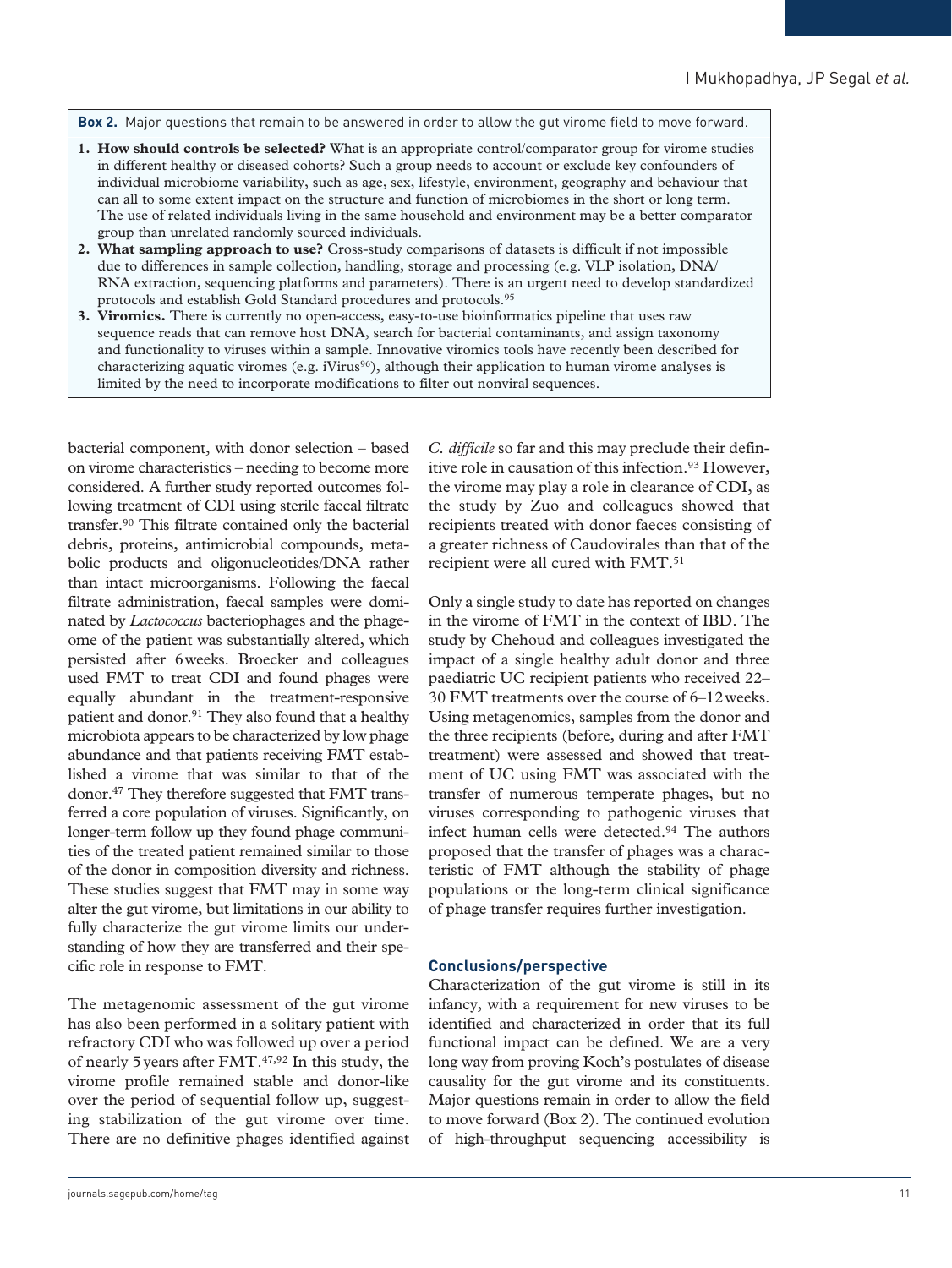**Box 2.** Major questions that remain to be answered in order to allow the gut virome field to move forward.

- **1. How should controls be selected?** What is an appropriate control/comparator group for virome studies in different healthy or diseased cohorts? Such a group needs to account or exclude key confounders of individual microbiome variability, such as age, sex, lifestyle, environment, geography and behaviour that can all to some extent impact on the structure and function of microbiomes in the short or long term. The use of related individuals living in the same household and environment may be a better comparator group than unrelated randomly sourced individuals.
- **2. What sampling approach to use?** Cross-study comparisons of datasets is difficult if not impossible due to differences in sample collection, handling, storage and processing (e.g. VLP isolation, DNA/ RNA extraction, sequencing platforms and parameters). There is an urgent need to develop standardized protocols and establish Gold Standard procedures and protocols.95
- **3. Viromics.** There is currently no open-access, easy-to-use bioinformatics pipeline that uses raw sequence reads that can remove host DNA, search for bacterial contaminants, and assign taxonomy and functionality to viruses within a sample. Innovative viromics tools have recently been described for characterizing aquatic viromes (e.g.  $iVirus<sup>96</sup>$ ), although their application to human virome analyses is limited by the need to incorporate modifications to filter out nonviral sequences.

bacterial component, with donor selection – based on virome characteristics – needing to become more considered. A further study reported outcomes following treatment of CDI using sterile faecal filtrate transfer.90 This filtrate contained only the bacterial debris, proteins, antimicrobial compounds, metabolic products and oligonucleotides/DNA rather than intact microorganisms. Following the faecal filtrate administration, faecal samples were dominated by *Lactococcus* bacteriophages and the phageome of the patient was substantially altered, which persisted after 6weeks. Broecker and colleagues used FMT to treat CDI and found phages were equally abundant in the treatment-responsive patient and donor.<sup>91</sup> They also found that a healthy microbiota appears to be characterized by low phage abundance and that patients receiving FMT established a virome that was similar to that of the donor.47 They therefore suggested that FMT transferred a core population of viruses. Significantly, on longer-term follow up they found phage communities of the treated patient remained similar to those of the donor in composition diversity and richness. These studies suggest that FMT may in some way alter the gut virome, but limitations in our ability to fully characterize the gut virome limits our understanding of how they are transferred and their specific role in response to FMT.

The metagenomic assessment of the gut virome has also been performed in a solitary patient with refractory CDI who was followed up over a period of nearly 5years after FMT.47,92 In this study, the virome profile remained stable and donor-like over the period of sequential follow up, suggesting stabilization of the gut virome over time. There are no definitive phages identified against *C. difficile* so far and this may preclude their definitive role in causation of this infection.<sup>93</sup> However, the virome may play a role in clearance of CDI, as the study by Zuo and colleagues showed that recipients treated with donor faeces consisting of a greater richness of Caudovirales than that of the recipient were all cured with FMT.51

Only a single study to date has reported on changes in the virome of FMT in the context of IBD. The study by Chehoud and colleagues investigated the impact of a single healthy adult donor and three paediatric UC recipient patients who received 22– 30 FMT treatments over the course of 6–12weeks. Using metagenomics, samples from the donor and the three recipients (before, during and after FMT treatment) were assessed and showed that treatment of UC using FMT was associated with the transfer of numerous temperate phages, but no viruses corresponding to pathogenic viruses that infect human cells were detected.<sup>94</sup> The authors proposed that the transfer of phages was a characteristic of FMT although the stability of phage populations or the long-term clinical significance of phage transfer requires further investigation.

## **Conclusions/perspective**

Characterization of the gut virome is still in its infancy, with a requirement for new viruses to be identified and characterized in order that its full functional impact can be defined. We are a very long way from proving Koch's postulates of disease causality for the gut virome and its constituents. Major questions remain in order to allow the field to move forward (Box 2). The continued evolution of high-throughput sequencing accessibility is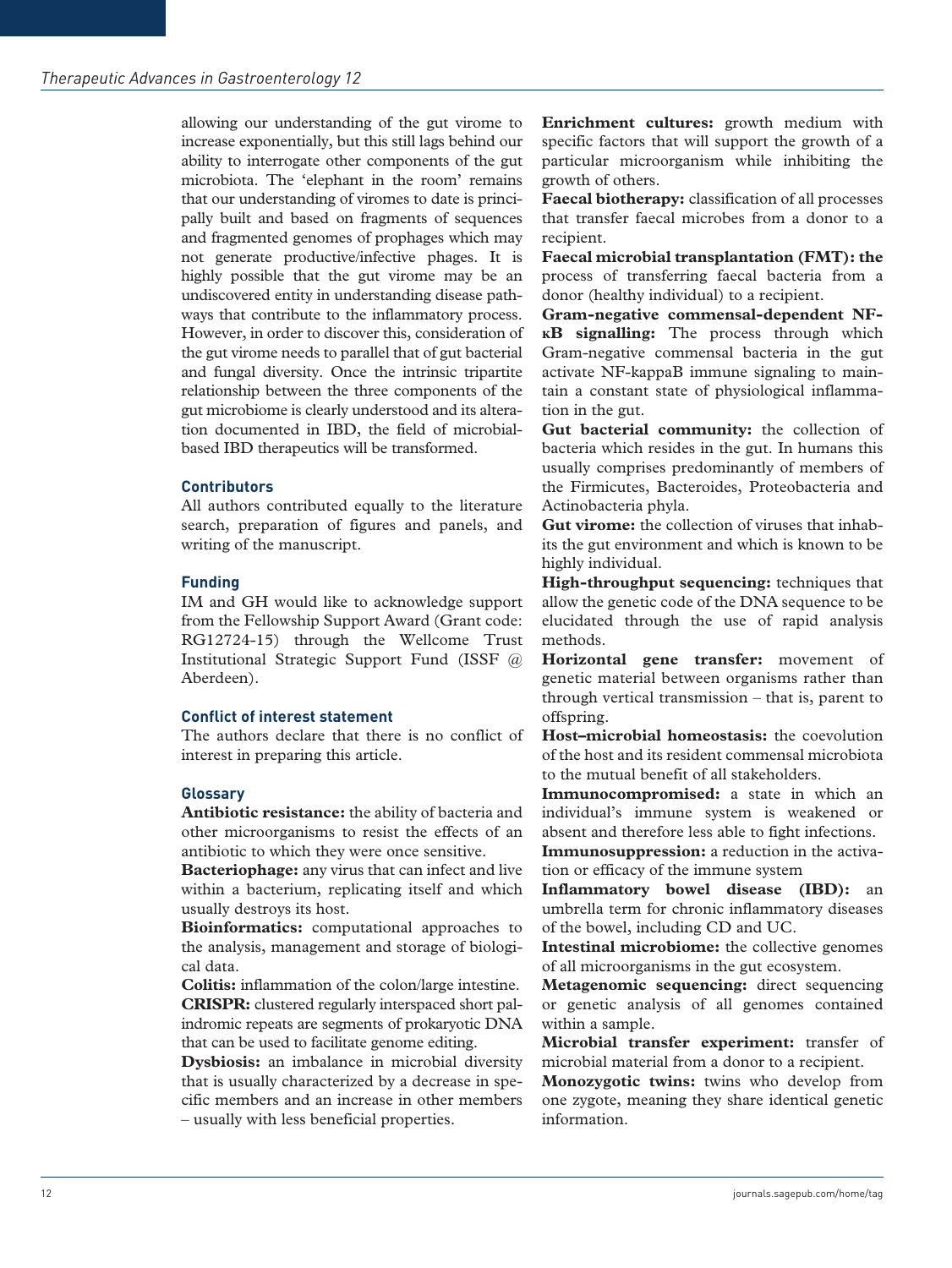allowing our understanding of the gut virome to increase exponentially, but this still lags behind our ability to interrogate other components of the gut microbiota. The 'elephant in the room' remains that our understanding of viromes to date is principally built and based on fragments of sequences and fragmented genomes of prophages which may not generate productive/infective phages. It is highly possible that the gut virome may be an undiscovered entity in understanding disease pathways that contribute to the inflammatory process. However, in order to discover this, consideration of the gut virome needs to parallel that of gut bacterial and fungal diversity. Once the intrinsic tripartite relationship between the three components of the gut microbiome is clearly understood and its alteration documented in IBD, the field of microbialbased IBD therapeutics will be transformed.

## **Contributors**

All authors contributed equally to the literature search, preparation of figures and panels, and writing of the manuscript.

## **Funding**

IM and GH would like to acknowledge support from the Fellowship Support Award (Grant code: RG12724-15) through the Wellcome Trust Institutional Strategic Support Fund (ISSF @ Aberdeen).

## **Conflict of interest statement**

The authors declare that there is no conflict of interest in preparing this article.

## **Glossary**

**Antibiotic resistance:** the ability of bacteria and other microorganisms to resist the effects of an antibiotic to which they were once sensitive.

**Bacteriophage:** any virus that can infect and live within a bacterium, replicating itself and which usually destroys its host.

**Bioinformatics:** computational approaches to the analysis, management and storage of biological data.

**Colitis:** inflammation of the colon/large intestine. **CRISPR:** clustered regularly interspaced short palindromic repeats are segments of prokaryotic DNA that can be used to facilitate genome editing.

**Dysbiosis:** an imbalance in microbial diversity that is usually characterized by a decrease in specific members and an increase in other members – usually with less beneficial properties.

**Enrichment cultures:** growth medium with specific factors that will support the growth of a particular microorganism while inhibiting the growth of others.

**Faecal biotherapy:** classification of all processes that transfer faecal microbes from a donor to a recipient.

**Faecal microbial transplantation (FMT): the** process of transferring faecal bacteria from a donor (healthy individual) to a recipient.

**Gram-negative commensal-dependent NFĸB signalling:** The process through which Gram-negative commensal bacteria in the gut activate NF-kappaB immune signaling to maintain a constant state of physiological inflammation in the gut.

**Gut bacterial community:** the collection of bacteria which resides in the gut. In humans this usually comprises predominantly of members of the Firmicutes, Bacteroides, Proteobacteria and Actinobacteria phyla.

**Gut virome:** the collection of viruses that inhabits the gut environment and which is known to be highly individual.

**High-throughput sequencing:** techniques that allow the genetic code of the DNA sequence to be elucidated through the use of rapid analysis methods.

**Horizontal gene transfer:** movement of genetic material between organisms rather than through vertical transmission – that is, parent to offspring.

**Host–microbial homeostasis:** the coevolution of the host and its resident commensal microbiota to the mutual benefit of all stakeholders.

**Immunocompromised:** a state in which an individual's immune system is weakened or absent and therefore less able to fight infections.

**Immunosuppression:** a reduction in the activation or efficacy of the immune system

**Inflammatory bowel disease (IBD):** an umbrella term for chronic inflammatory diseases of the bowel, including CD and UC.

**Intestinal microbiome:** the collective genomes of all microorganisms in the gut ecosystem.

**Metagenomic sequencing:** direct sequencing or genetic analysis of all genomes contained within a sample.

**Microbial transfer experiment:** transfer of microbial material from a donor to a recipient.

**Monozygotic twins:** twins who develop from one zygote, meaning they share identical genetic information.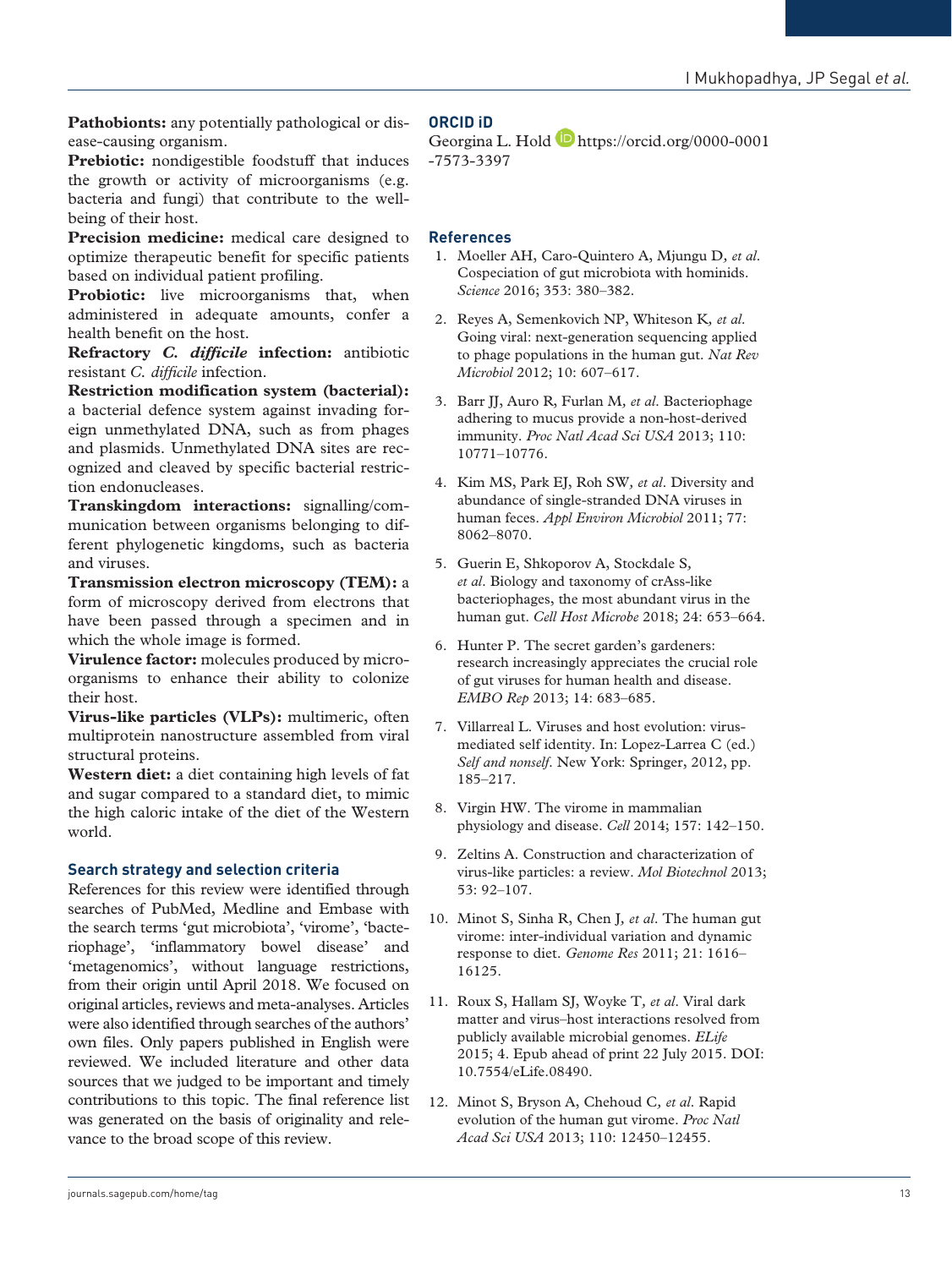**Pathobionts:** any potentially pathological or disease-causing organism.

**Prebiotic:** nondigestible foodstuff that induces the growth or activity of microorganisms (e.g. bacteria and fungi) that contribute to the wellbeing of their host.

**Precision medicine:** medical care designed to optimize therapeutic benefit for specific patients based on individual patient profiling.

Probiotic: live microorganisms that, when administered in adequate amounts, confer a health benefit on the host.

**Refractory** *C. difficile* **infection:** antibiotic resistant *C. difficile* infection.

**Restriction modification system (bacterial):** a bacterial defence system against invading foreign unmethylated DNA, such as from phages and plasmids. Unmethylated DNA sites are recognized and cleaved by specific bacterial restriction endonucleases.

**Transkingdom interactions:** signalling/communication between organisms belonging to different phylogenetic kingdoms, such as bacteria and viruses.

**Transmission electron microscopy (TEM):** a form of microscopy derived from electrons that have been passed through a specimen and in which the whole image is formed.

**Virulence factor:** molecules produced by microorganisms to enhance their ability to colonize their host.

**Virus-like particles (VLPs):** multimeric, often multiprotein nanostructure assembled from viral structural proteins.

**Western diet:** a diet containing high levels of fat and sugar compared to a standard diet, to mimic the high caloric intake of the diet of the Western world.

## **Search strategy and selection criteria**

References for this review were identified through searches of PubMed, Medline and Embase with the search terms 'gut microbiota', 'virome', 'bacteriophage', 'inflammatory bowel disease' and 'metagenomics', without language restrictions, from their origin until April 2018. We focused on original articles, reviews and meta-analyses. Articles were also identified through searches of the authors' own files. Only papers published in English were reviewed. We included literature and other data sources that we judged to be important and timely contributions to this topic. The final reference list was generated on the basis of originality and relevance to the broad scope of this review.

## **ORCID iD**

Georgina L. Hold **D** [https://orcid.org/0000-0001](https://orcid.org/0000-0001-7573-3397) [-7573-3397](https://orcid.org/0000-0001-7573-3397)

## **References**

- 1. Moeller AH, Caro-Quintero A, Mjungu D*, et al*. Cospeciation of gut microbiota with hominids. *Science* 2016; 353: 380–382.
- 2. Reyes A, Semenkovich NP, Whiteson K*, et al*. Going viral: next-generation sequencing applied to phage populations in the human gut. *Nat Rev Microbiol* 2012; 10: 607–617.
- 3. Barr JJ, Auro R, Furlan M*, et al*. Bacteriophage adhering to mucus provide a non-host-derived immunity. *Proc Natl Acad Sci USA* 2013; 110: 10771–10776.
- 4. Kim MS, Park EJ, Roh SW*, et al*. Diversity and abundance of single-stranded DNA viruses in human feces. *Appl Environ Microbiol* 2011; 77: 8062–8070.
- 5. Guerin E, Shkoporov A, Stockdale S*, et al*. Biology and taxonomy of crAss-like bacteriophages, the most abundant virus in the human gut. *Cell Host Microbe* 2018; 24: 653–664.
- 6. Hunter P. The secret garden's gardeners: research increasingly appreciates the crucial role of gut viruses for human health and disease. *EMBO Rep* 2013; 14: 683–685.
- 7. Villarreal L. Viruses and host evolution: virusmediated self identity. In: Lopez-Larrea C (ed.) *Self and nonself*. New York: Springer, 2012, pp. 185–217.
- 8. Virgin HW. The virome in mammalian physiology and disease. *Cell* 2014; 157: 142–150.
- 9. Zeltins A. Construction and characterization of virus-like particles: a review. *Mol Biotechnol* 2013; 53: 92–107.
- 10. Minot S, Sinha R, Chen J*, et al*. The human gut virome: inter-individual variation and dynamic response to diet. *Genome Res* 2011; 21: 1616– 16125.
- 11. Roux S, Hallam SJ, Woyke T*, et al*. Viral dark matter and virus–host interactions resolved from publicly available microbial genomes. *ELife* 2015; 4. Epub ahead of print 22 July 2015. DOI: 10.7554/eLife.08490.
- 12. Minot S, Bryson A, Chehoud C*, et al*. Rapid evolution of the human gut virome. *Proc Natl Acad Sci USA* 2013; 110: 12450–12455.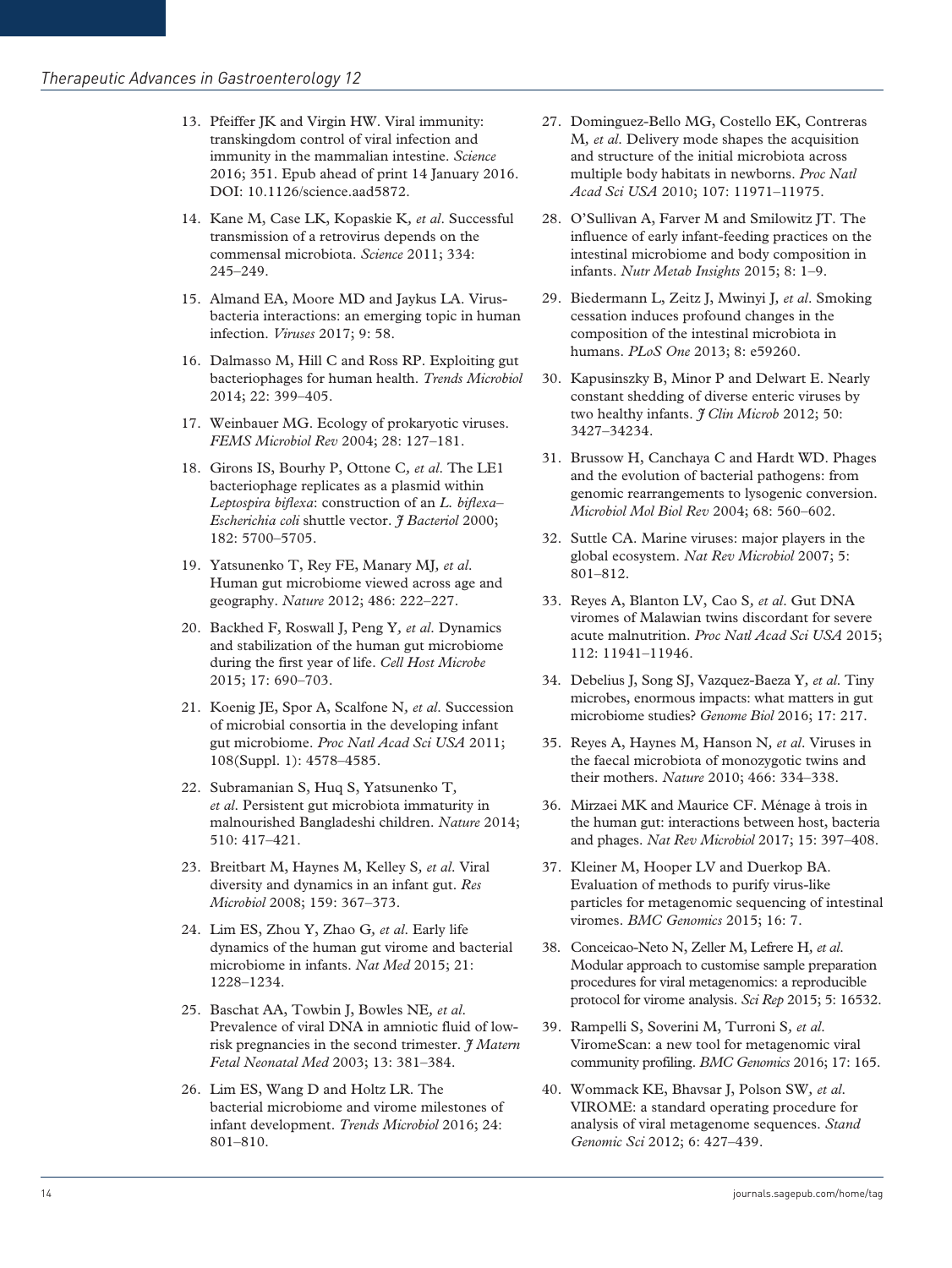- 13. Pfeiffer JK and Virgin HW. Viral immunity: transkingdom control of viral infection and immunity in the mammalian intestine. *Science* 2016; 351. Epub ahead of print 14 January 2016. DOI: 10.1126/science.aad5872.
- 14. Kane M, Case LK, Kopaskie K*, et al*. Successful transmission of a retrovirus depends on the commensal microbiota. *Science* 2011; 334: 245–249.
- 15. Almand EA, Moore MD and Jaykus LA. Virusbacteria interactions: an emerging topic in human infection. *Viruses* 2017; 9: 58.
- 16. Dalmasso M, Hill C and Ross RP. Exploiting gut bacteriophages for human health. *Trends Microbiol* 2014; 22: 399–405.
- 17. Weinbauer MG. Ecology of prokaryotic viruses. *FEMS Microbiol Rev* 2004; 28: 127–181.
- 18. Girons IS, Bourhy P, Ottone C*, et al*. The LE1 bacteriophage replicates as a plasmid within *Leptospira biflexa*: construction of an *L. biflexa– Escherichia coli* shuttle vector. *J Bacteriol* 2000; 182: 5700–5705.
- 19. Yatsunenko T, Rey FE, Manary MJ*, et al*. Human gut microbiome viewed across age and geography. *Nature* 2012; 486: 222–227.
- 20. Backhed F, Roswall J, Peng Y*, et al*. Dynamics and stabilization of the human gut microbiome during the first year of life. *Cell Host Microbe* 2015; 17: 690–703.
- 21. Koenig JE, Spor A, Scalfone N*, et al*. Succession of microbial consortia in the developing infant gut microbiome. *Proc Natl Acad Sci USA* 2011; 108(Suppl. 1): 4578–4585.
- 22. Subramanian S, Huq S, Yatsunenko T*, et al*. Persistent gut microbiota immaturity in malnourished Bangladeshi children. *Nature* 2014; 510: 417–421.
- 23. Breitbart M, Haynes M, Kelley S*, et al*. Viral diversity and dynamics in an infant gut. *Res Microbiol* 2008; 159: 367–373.
- 24. Lim ES, Zhou Y, Zhao G*, et al*. Early life dynamics of the human gut virome and bacterial microbiome in infants. *Nat Med* 2015; 21: 1228–1234.
- 25. Baschat AA, Towbin J, Bowles NE*, et al*. Prevalence of viral DNA in amniotic fluid of lowrisk pregnancies in the second trimester. *J Matern Fetal Neonatal Med* 2003; 13: 381–384.
- 26. Lim ES, Wang D and Holtz LR. The bacterial microbiome and virome milestones of infant development. *Trends Microbiol* 2016; 24: 801–810.
- 27. Dominguez-Bello MG, Costello EK, Contreras M*, et al*. Delivery mode shapes the acquisition and structure of the initial microbiota across multiple body habitats in newborns. *Proc Natl Acad Sci USA* 2010; 107: 11971–11975.
- 28. O'Sullivan A, Farver M and Smilowitz JT. The influence of early infant-feeding practices on the intestinal microbiome and body composition in infants. *Nutr Metab Insights* 2015; 8: 1–9.
- 29. Biedermann L, Zeitz J, Mwinyi J*, et al*. Smoking cessation induces profound changes in the composition of the intestinal microbiota in humans. *PLoS One* 2013; 8: e59260.
- 30. Kapusinszky B, Minor P and Delwart E. Nearly constant shedding of diverse enteric viruses by two healthy infants. *J Clin Microb* 2012; 50: 3427–34234.
- 31. Brussow H, Canchaya C and Hardt WD. Phages and the evolution of bacterial pathogens: from genomic rearrangements to lysogenic conversion. *Microbiol Mol Biol Rev* 2004; 68: 560–602.
- 32. Suttle CA. Marine viruses: major players in the global ecosystem. *Nat Rev Microbiol* 2007; 5: 801–812.
- 33. Reyes A, Blanton LV, Cao S*, et al*. Gut DNA viromes of Malawian twins discordant for severe acute malnutrition. *Proc Natl Acad Sci USA* 2015; 112: 11941–11946.
- 34. Debelius J, Song SJ, Vazquez-Baeza Y*, et al*. Tiny microbes, enormous impacts: what matters in gut microbiome studies? *Genome Biol* 2016; 17: 217.
- 35. Reyes A, Haynes M, Hanson N*, et al*. Viruses in the faecal microbiota of monozygotic twins and their mothers. *Nature* 2010; 466: 334–338.
- 36. Mirzaei MK and Maurice CF. Ménage à trois in the human gut: interactions between host, bacteria and phages. *Nat Rev Microbiol* 2017; 15: 397–408.
- 37. Kleiner M, Hooper LV and Duerkop BA. Evaluation of methods to purify virus-like particles for metagenomic sequencing of intestinal viromes. *BMC Genomics* 2015; 16: 7.
- 38. Conceicao-Neto N, Zeller M, Lefrere H*, et al*. Modular approach to customise sample preparation procedures for viral metagenomics: a reproducible protocol for virome analysis. *Sci Rep* 2015; 5: 16532.
- 39. Rampelli S, Soverini M, Turroni S*, et al*. ViromeScan: a new tool for metagenomic viral community profiling. *BMC Genomics* 2016; 17: 165.
- 40. Wommack KE, Bhavsar J, Polson SW*, et al*. VIROME: a standard operating procedure for analysis of viral metagenome sequences. *Stand Genomic Sci* 2012; 6: 427–439.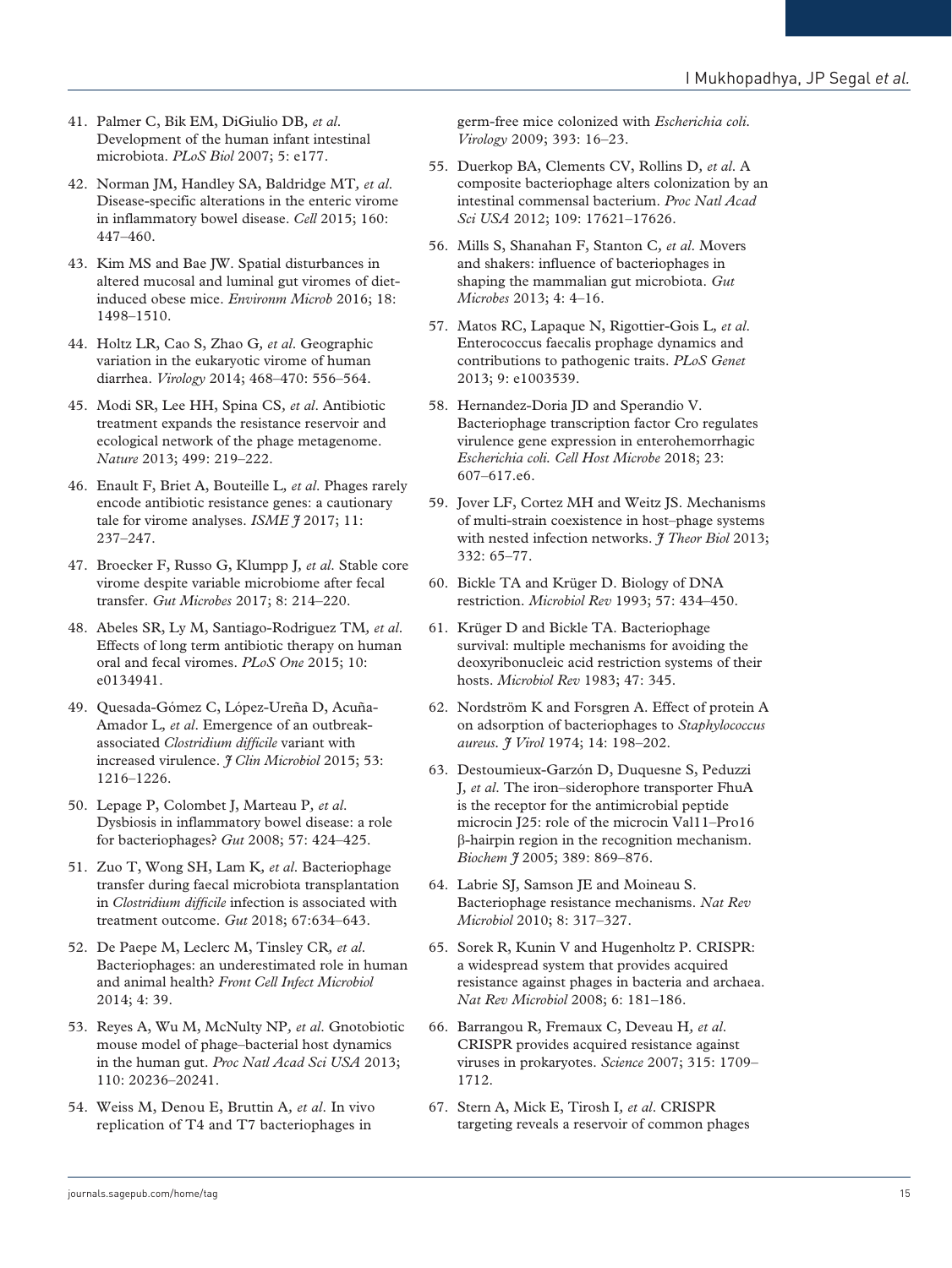- 41. Palmer C, Bik EM, DiGiulio DB*, et al*. Development of the human infant intestinal microbiota. *PLoS Biol* 2007; 5: e177.
- 42. Norman JM, Handley SA, Baldridge MT*, et al*. Disease-specific alterations in the enteric virome in inflammatory bowel disease. *Cell* 2015; 160: 447–460.
- 43. Kim MS and Bae JW. Spatial disturbances in altered mucosal and luminal gut viromes of dietinduced obese mice. *Environm Microb* 2016; 18: 1498–1510.
- 44. Holtz LR, Cao S, Zhao G*, et al*. Geographic variation in the eukaryotic virome of human diarrhea. *Virology* 2014; 468–470: 556–564.
- 45. Modi SR, Lee HH, Spina CS*, et al*. Antibiotic treatment expands the resistance reservoir and ecological network of the phage metagenome. *Nature* 2013; 499: 219–222.
- 46. Enault F, Briet A, Bouteille L*, et al*. Phages rarely encode antibiotic resistance genes: a cautionary tale for virome analyses. *ISME*  $\frac{4}{7}$  2017; 11: 237–247.
- 47. Broecker F, Russo G, Klumpp J*, et al*. Stable core virome despite variable microbiome after fecal transfer. *Gut Microbes* 2017; 8: 214–220.
- 48. Abeles SR, Ly M, Santiago-Rodriguez TM*, et al*. Effects of long term antibiotic therapy on human oral and fecal viromes. *PLoS One* 2015; 10: e0134941.
- 49. Quesada-Gómez C, López-Ureña D, Acuña-Amador L*, et al*. Emergence of an outbreakassociated *Clostridium difficile* variant with increased virulence. *J Clin Microbiol* 2015; 53: 1216–1226.
- 50. Lepage P, Colombet J, Marteau P*, et al*. Dysbiosis in inflammatory bowel disease: a role for bacteriophages? *Gut* 2008; 57: 424–425.
- 51. Zuo T, Wong SH, Lam K*, et al*. Bacteriophage transfer during faecal microbiota transplantation in *Clostridium difficile* infection is associated with treatment outcome. *Gut* 2018; 67:634–643.
- 52. De Paepe M, Leclerc M, Tinsley CR*, et al*. Bacteriophages: an underestimated role in human and animal health? *Front Cell Infect Microbiol* 2014; 4: 39.
- 53. Reyes A, Wu M, McNulty NP*, et al*. Gnotobiotic mouse model of phage–bacterial host dynamics in the human gut. *Proc Natl Acad Sci USA* 2013; 110: 20236–20241.
- 54. Weiss M, Denou E, Bruttin A*, et al*. In vivo replication of T4 and T7 bacteriophages in

germ-free mice colonized with *Escherichia coli. Virology* 2009; 393: 16–23.

- 55. Duerkop BA, Clements CV, Rollins D*, et al*. A composite bacteriophage alters colonization by an intestinal commensal bacterium. *Proc Natl Acad Sci USA* 2012; 109: 17621–17626.
- 56. Mills S, Shanahan F, Stanton C*, et al*. Movers and shakers: influence of bacteriophages in shaping the mammalian gut microbiota. *Gut Microbes* 2013; 4: 4–16.
- 57. Matos RC, Lapaque N, Rigottier-Gois L*, et al*. Enterococcus faecalis prophage dynamics and contributions to pathogenic traits. *PLoS Genet* 2013; 9: e1003539.
- 58. Hernandez-Doria JD and Sperandio V. Bacteriophage transcription factor Cro regulates virulence gene expression in enterohemorrhagic *Escherichia coli. Cell Host Microbe* 2018; 23: 607–617.e6.
- 59. Jover LF, Cortez MH and Weitz JS. Mechanisms of multi-strain coexistence in host–phage systems with nested infection networks. *J Theor Biol* 2013; 332: 65–77.
- 60. Bickle TA and Krüger D. Biology of DNA restriction. *Microbiol Rev* 1993; 57: 434–450.
- 61. Krüger D and Bickle TA. Bacteriophage survival: multiple mechanisms for avoiding the deoxyribonucleic acid restriction systems of their hosts. *Microbiol Rev* 1983; 47: 345.
- 62. Nordström K and Forsgren A. Effect of protein A on adsorption of bacteriophages to *Staphylococcus aureus. J Virol* 1974; 14: 198–202.
- 63. Destoumieux-Garzón D, Duquesne S, Peduzzi J*, et al*. The iron–siderophore transporter FhuA is the receptor for the antimicrobial peptide microcin J25: role of the microcin Val11–Pro16 β-hairpin region in the recognition mechanism. *Biochem J* 2005; 389: 869–876.
- 64. Labrie SJ, Samson JE and Moineau S. Bacteriophage resistance mechanisms. *Nat Rev Microbiol* 2010; 8: 317–327.
- 65. Sorek R, Kunin V and Hugenholtz P. CRISPR: a widespread system that provides acquired resistance against phages in bacteria and archaea. *Nat Rev Microbiol* 2008; 6: 181–186.
- 66. Barrangou R, Fremaux C, Deveau H*, et al*. CRISPR provides acquired resistance against viruses in prokaryotes. *Science* 2007; 315: 1709– 1712.
- 67. Stern A, Mick E, Tirosh I*, et al*. CRISPR targeting reveals a reservoir of common phages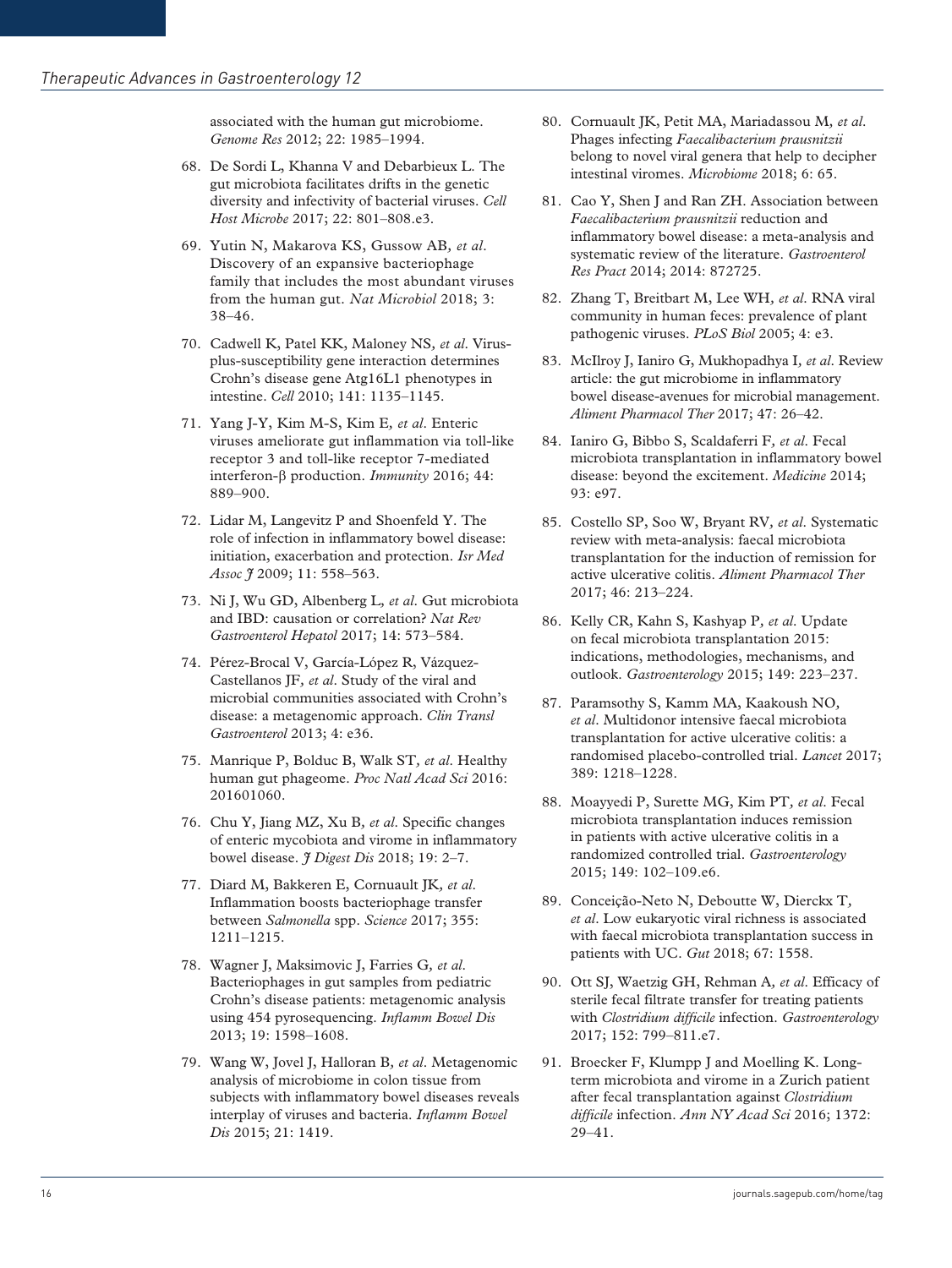associated with the human gut microbiome. *Genome Res* 2012; 22: 1985–1994.

- 68. De Sordi L, Khanna V and Debarbieux L. The gut microbiota facilitates drifts in the genetic diversity and infectivity of bacterial viruses. *Cell Host Microbe* 2017; 22: 801–808.e3.
- 69. Yutin N, Makarova KS, Gussow AB*, et al*. Discovery of an expansive bacteriophage family that includes the most abundant viruses from the human gut. *Nat Microbiol* 2018; 3: 38–46.
- 70. Cadwell K, Patel KK, Maloney NS*, et al*. Virusplus-susceptibility gene interaction determines Crohn's disease gene Atg16L1 phenotypes in intestine. *Cell* 2010; 141: 1135–1145.
- 71. Yang J-Y, Kim M-S, Kim E*, et al*. Enteric viruses ameliorate gut inflammation via toll-like receptor 3 and toll-like receptor 7-mediated interferon-β production. *Immunity* 2016; 44: 889–900.
- 72. Lidar M, Langevitz P and Shoenfeld Y. The role of infection in inflammatory bowel disease: initiation, exacerbation and protection. *Isr Med Assoc J* 2009; 11: 558–563.
- 73. Ni J, Wu GD, Albenberg L*, et al*. Gut microbiota and IBD: causation or correlation? *Nat Rev Gastroenterol Hepatol* 2017; 14: 573–584.
- 74. Pérez-Brocal V, García-López R, Vázquez-Castellanos JF*, et al*. Study of the viral and microbial communities associated with Crohn's disease: a metagenomic approach. *Clin Transl Gastroenterol* 2013; 4: e36.
- 75. Manrique P, Bolduc B, Walk ST*, et al*. Healthy human gut phageome. *Proc Natl Acad Sci* 2016: 201601060.
- 76. Chu Y, Jiang MZ, Xu B*, et al*. Specific changes of enteric mycobiota and virome in inflammatory bowel disease. *J Digest Dis* 2018; 19: 2–7.
- 77. Diard M, Bakkeren E, Cornuault JK*, et al*. Inflammation boosts bacteriophage transfer between *Salmonella* spp. *Science* 2017; 355: 1211–1215.
- 78. Wagner J, Maksimovic J, Farries G*, et al*. Bacteriophages in gut samples from pediatric Crohn's disease patients: metagenomic analysis using 454 pyrosequencing. *Inflamm Bowel Dis* 2013; 19: 1598–1608.
- 79. Wang W, Jovel J, Halloran B*, et al*. Metagenomic analysis of microbiome in colon tissue from subjects with inflammatory bowel diseases reveals interplay of viruses and bacteria. *Inflamm Bowel Dis* 2015; 21: 1419.
- 80. Cornuault JK, Petit MA, Mariadassou M*, et al*. Phages infecting *Faecalibacterium prausnitzii* belong to novel viral genera that help to decipher intestinal viromes. *Microbiome* 2018; 6: 65.
- 81. Cao Y, Shen J and Ran ZH. Association between *Faecalibacterium prausnitzii* reduction and inflammatory bowel disease: a meta-analysis and systematic review of the literature. *Gastroenterol Res Pract* 2014; 2014: 872725.
- 82. Zhang T, Breitbart M, Lee WH*, et al*. RNA viral community in human feces: prevalence of plant pathogenic viruses. *PLoS Biol* 2005; 4: e3.
- 83. McIlroy J, Ianiro G, Mukhopadhya I*, et al*. Review article: the gut microbiome in inflammatory bowel disease-avenues for microbial management. *Aliment Pharmacol Ther* 2017; 47: 26–42.
- 84. Ianiro G, Bibbo S, Scaldaferri F*, et al*. Fecal microbiota transplantation in inflammatory bowel disease: beyond the excitement. *Medicine* 2014; 93: e97.
- 85. Costello SP, Soo W, Bryant RV*, et al*. Systematic review with meta-analysis: faecal microbiota transplantation for the induction of remission for active ulcerative colitis. *Aliment Pharmacol Ther* 2017; 46: 213–224.
- 86. Kelly CR, Kahn S, Kashyap P*, et al*. Update on fecal microbiota transplantation 2015: indications, methodologies, mechanisms, and outlook. *Gastroenterology* 2015; 149: 223–237.
- 87. Paramsothy S, Kamm MA, Kaakoush NO*, et al*. Multidonor intensive faecal microbiota transplantation for active ulcerative colitis: a randomised placebo-controlled trial. *Lancet* 2017; 389: 1218–1228.
- 88. Moayyedi P, Surette MG, Kim PT*, et al*. Fecal microbiota transplantation induces remission in patients with active ulcerative colitis in a randomized controlled trial. *Gastroenterology* 2015; 149: 102–109.e6.
- 89. Conceição-Neto N, Deboutte W, Dierckx T*, et al*. Low eukaryotic viral richness is associated with faecal microbiota transplantation success in patients with UC. *Gut* 2018; 67: 1558.
- 90. Ott SJ, Waetzig GH, Rehman A*, et al*. Efficacy of sterile fecal filtrate transfer for treating patients with *Clostridium difficile* infection. *Gastroenterology* 2017; 152: 799–811.e7.
- 91. Broecker F, Klumpp J and Moelling K. Longterm microbiota and virome in a Zurich patient after fecal transplantation against *Clostridium difficile* infection. *Ann NY Acad Sci* 2016; 1372: 29–41.